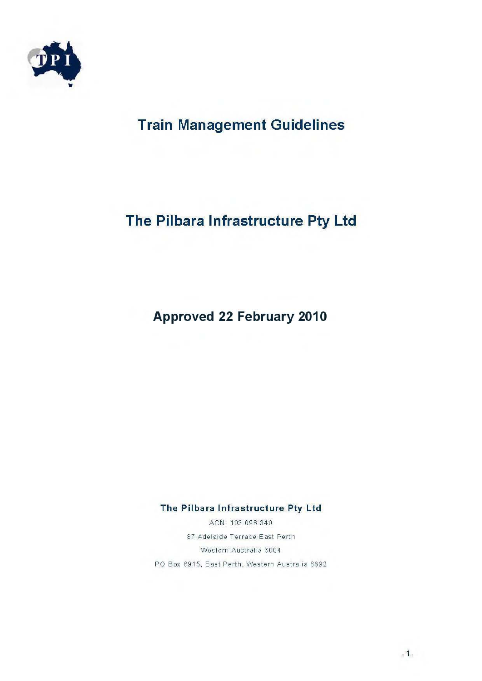

# **Train Management Guidelines**

# The Pilbara Infrastructure Pty Ltd

## **Approved 22 February 2010**

#### The Pilbara Infrastructure Pty Ltd

ACN: 103 096 340 87 Adelaide Terrace East Perth Western Australia 6004 PO Box 6915, East Perth, Western Australia 6892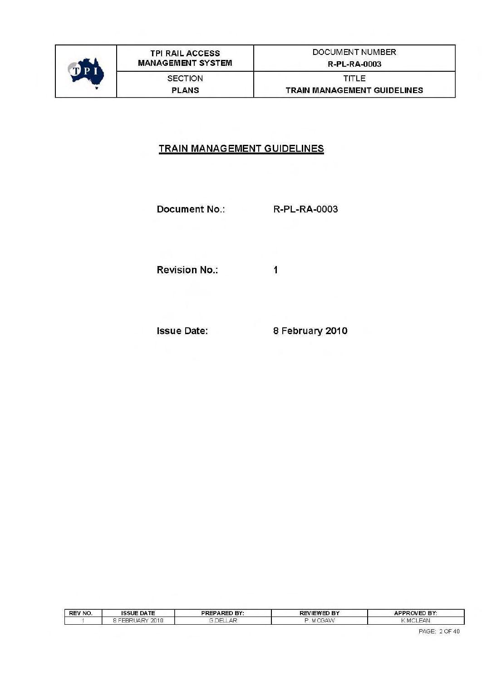

### **TRAIN MANAGEMENT GUIDELINES**

**Document No.:** R-PL-RA-0003

 $\mathbf{1}$ 

**Revision No.:** 

**Issue Date:** 

8 February 2010

| REV NO. | <b>ISSUE DATE</b>                 | <b>PREPARED BY:</b> | <b>REVIEWED BY</b>                    | <b>APPROVED BY:</b> |
|---------|-----------------------------------|---------------------|---------------------------------------|---------------------|
|         | 2010<br><b>HARY</b><br>HHR<br>. . | DEI<br>-AF          | ÷.<br>1.4723333<br><b>UJAVY</b><br>M. | EAN<br>' MCL        |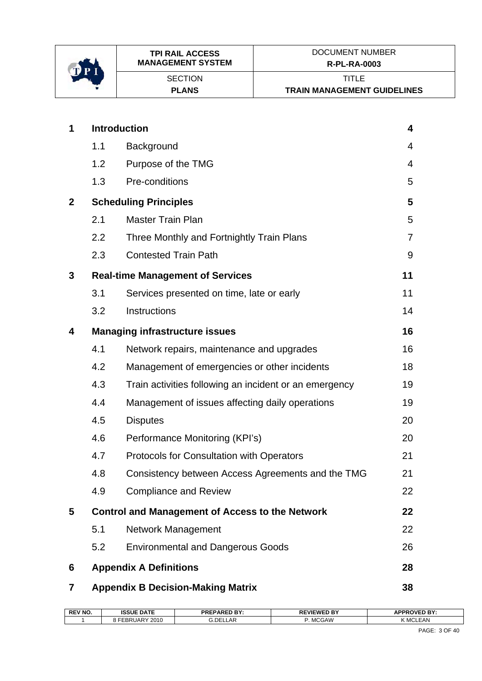

| 1            |     | <b>Introduction</b>                                    | 4              |
|--------------|-----|--------------------------------------------------------|----------------|
|              | 1.1 | Background                                             | 4              |
|              | 1.2 | Purpose of the TMG                                     | 4              |
|              | 1.3 | Pre-conditions                                         | 5              |
| $\mathbf{2}$ |     | <b>Scheduling Principles</b>                           | 5              |
|              | 2.1 | <b>Master Train Plan</b>                               | 5              |
|              | 2.2 | Three Monthly and Fortnightly Train Plans              | $\overline{7}$ |
|              | 2.3 | <b>Contested Train Path</b>                            | 9              |
| 3            |     | <b>Real-time Management of Services</b>                | 11             |
|              | 3.1 | Services presented on time, late or early              | 11             |
|              | 3.2 | Instructions                                           | 14             |
| 4            |     | <b>Managing infrastructure issues</b>                  | 16             |
|              | 4.1 | Network repairs, maintenance and upgrades              | 16             |
|              | 4.2 | Management of emergencies or other incidents           | 18             |
|              | 4.3 | Train activities following an incident or an emergency | 19             |
|              | 4.4 | Management of issues affecting daily operations        | 19             |
|              | 4.5 | <b>Disputes</b>                                        | 20             |
|              | 4.6 | Performance Monitoring (KPI's)                         | 20             |
|              | 4.7 | <b>Protocols for Consultation with Operators</b>       | 21             |
|              | 4.8 | Consistency between Access Agreements and the TMG      | 21             |
|              | 4.9 | <b>Compliance and Review</b>                           | 22             |
| 5            |     | <b>Control and Management of Access to the Network</b> | 22             |
|              | 5.1 | <b>Network Management</b>                              | 22             |
|              | 5.2 | <b>Environmental and Dangerous Goods</b>               | 26             |
| 6            |     | <b>Appendix A Definitions</b>                          | 28             |
| 7            |     | <b>Appendix B Decision-Making Matrix</b>               | 38             |

| <b>REV NO</b> | <b>ISSUE DATE</b>      | DAPED RV.<br><b>DDCI</b><br>-ռ⊾<br>mг | $-$<br><b>VIEWE</b> | <b>APPROVED BY:</b> |
|---------------|------------------------|---------------------------------------|---------------------|---------------------|
|               | 2010<br>, JAP'<br>CBR. | G.DELLAR                              | <b>MCGAW</b>        | K MCLEAN            |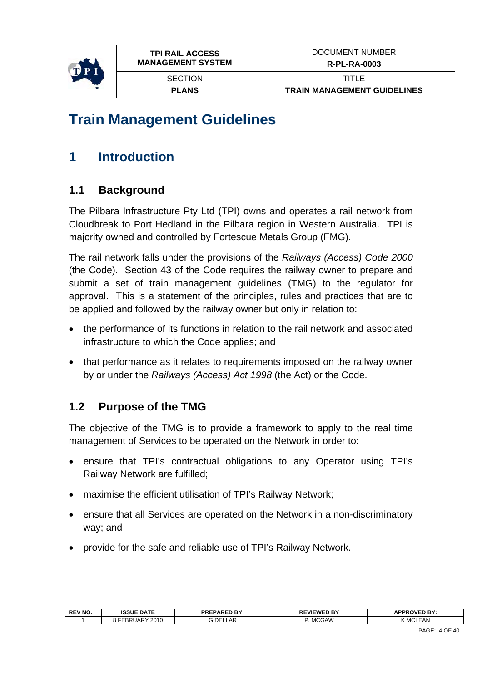<span id="page-3-0"></span>

# **Train Management Guidelines**

# **1 Introduction**

## **1.1 Background**

The Pilbara Infrastructure Pty Ltd (TPI) owns and operates a rail network from Cloudbreak to Port Hedland in the Pilbara region in Western Australia. TPI is majority owned and controlled by Fortescue Metals Group (FMG).

The rail network falls under the provisions of the *Railways (Access) Code 2000*  (the Code). Section 43 of the Code requires the railway owner to prepare and submit a set of train management guidelines (TMG) to the regulator for approval. This is a statement of the principles, rules and practices that are to be applied and followed by the railway owner but only in relation to:

- the performance of its functions in relation to the rail network and associated infrastructure to which the Code applies; and
- that performance as it relates to requirements imposed on the railway owner by or under the *Railways (Access) Act 1998* (the Act) or the Code.

## **1.2 Purpose of the TMG**

The objective of the TMG is to provide a framework to apply to the real time management of Services to be operated on the Network in order to:

- ensure that TPI's contractual obligations to any Operator using TPI's Railway Network are fulfilled;
- maximise the efficient utilisation of TPI's Railway Network;
- ensure that all Services are operated on the Network in a non-discriminatory way; and
- provide for the safe and reliable use of TPI's Railway Network.

| <b>REV NO</b> | <b>ISSUE DATE</b>            | <b>PRF</b><br><b>PAREDL</b><br>. DV<br>. | <b>REVIEWED BY</b>                          | <b>\PPROVED RY:</b><br>. .<br>- 1                |
|---------------|------------------------------|------------------------------------------|---------------------------------------------|--------------------------------------------------|
|               | 2010<br>$\mathsf{I}$ A<br>∽∼ | G.DELLAR                                 | $\bigcap$ AVA $\bigcap$<br>. MCC<br>بر بر ب | $ \cdots$<br>$\sim$ $\sim$<br>:AN<br><b>IVIU</b> |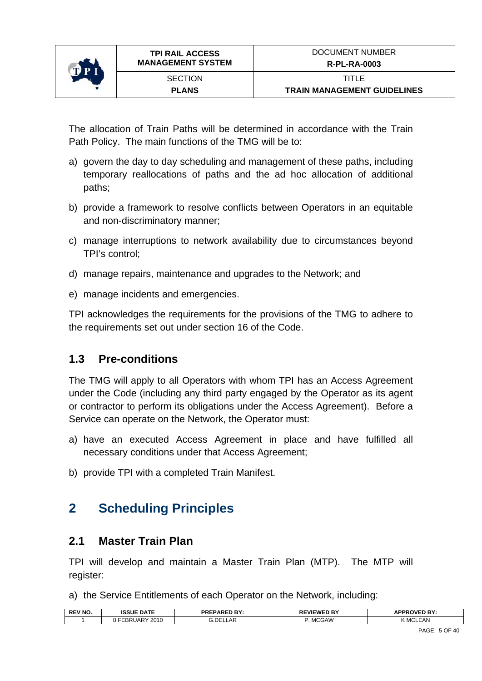<span id="page-4-0"></span>

The allocation of Train Paths will be determined in accordance with the Train Path Policy. The main functions of the TMG will be to:

- a) govern the day to day scheduling and management of these paths, including temporary reallocations of paths and the ad hoc allocation of additional paths;
- b) provide a framework to resolve conflicts between Operators in an equitable and non-discriminatory manner;
- c) manage interruptions to network availability due to circumstances beyond TPI's control;
- d) manage repairs, maintenance and upgrades to the Network; and
- e) manage incidents and emergencies.

TPI acknowledges the requirements for the provisions of the TMG to adhere to the requirements set out under section 16 of the Code.

## **1.3 Pre-conditions**

The TMG will apply to all Operators with whom TPI has an Access Agreement under the Code (including any third party engaged by the Operator as its agent or contractor to perform its obligations under the Access Agreement). Before a Service can operate on the Network, the Operator must:

- a) have an executed Access Agreement in place and have fulfilled all necessary conditions under that Access Agreement;
- b) provide TPI with a completed Train Manifest.

## **2 Scheduling Principles**

### **2.1 Master Train Plan**

TPI will develop and maintain a Master Train Plan (MTP). The MTP will register:

a) the Service Entitlements of each Operator on the Network, including:

| <b>REV NO.</b> | <b>DATE</b><br><b>ISSUE</b>            | <b>FPARED BY:</b><br>'NC | <b>REVIEWED BY</b> | OVED BY:<br><b>ADDD</b><br>nı |
|----------------|----------------------------------------|--------------------------|--------------------|-------------------------------|
|                | 2010<br>$\sqrt{2}$<br>. .<br>$'$ IAR . | <b>G.DELLAR</b>          | . MCGAW            | K MCLEAN                      |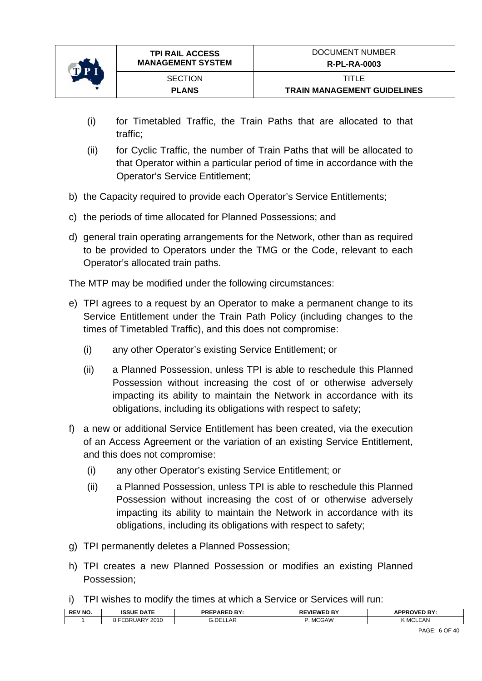

- (i) for Timetabled Traffic, the Train Paths that are allocated to that traffic;
- (ii) for Cyclic Traffic, the number of Train Paths that will be allocated to that Operator within a particular period of time in accordance with the Operator's Service Entitlement;
- b) the Capacity required to provide each Operator's Service Entitlements;
- c) the periods of time allocated for Planned Possessions; and
- d) general train operating arrangements for the Network, other than as required to be provided to Operators under the TMG or the Code, relevant to each Operator's allocated train paths.

The MTP may be modified under the following circumstances:

- e) TPI agrees to a request by an Operator to make a permanent change to its Service Entitlement under the Train Path Policy (including changes to the times of Timetabled Traffic), and this does not compromise:
	- (i) any other Operator's existing Service Entitlement; or
	- (ii) a Planned Possession, unless TPI is able to reschedule this Planned Possession without increasing the cost of or otherwise adversely impacting its ability to maintain the Network in accordance with its obligations, including its obligations with respect to safety;
- f) a new or additional Service Entitlement has been created, via the execution of an Access Agreement or the variation of an existing Service Entitlement, and this does not compromise:
	- (i) any other Operator's existing Service Entitlement; or
	- (ii) a Planned Possession, unless TPI is able to reschedule this Planned Possession without increasing the cost of or otherwise adversely impacting its ability to maintain the Network in accordance with its obligations, including its obligations with respect to safety;
- g) TPI permanently deletes a Planned Possession;
- h) TPI creates a new Planned Possession or modifies an existing Planned Possession;
- i) TPI wishes to modify the times at which a Service or Services will run:

| <b>REV NO.</b> | <b>ISSUE DATE</b>  | <b>DV</b><br><b>FPARFT</b><br><b>PRE</b> | . 5V<br>=WFI<br>nг | OVED BY:<br><b>ADDP</b><br>- 1 |
|----------------|--------------------|------------------------------------------|--------------------|--------------------------------|
|                | 2010<br>JAR<br>.or | <b>G.DELLAR</b>                          | <b>MCGAW</b>       | K MCLEAN                       |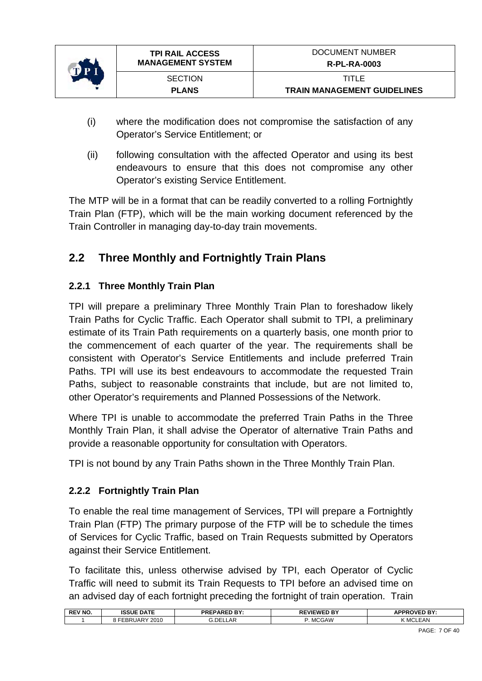<span id="page-6-0"></span>

- (i) where the modification does not compromise the satisfaction of any Operator's Service Entitlement; or
- (ii) following consultation with the affected Operator and using its best endeavours to ensure that this does not compromise any other Operator's existing Service Entitlement.

The MTP will be in a format that can be readily converted to a rolling Fortnightly Train Plan (FTP), which will be the main working document referenced by the Train Controller in managing day-to-day train movements.

## **2.2 Three Monthly and Fortnightly Train Plans**

### **2.2.1 Three Monthly Train Plan**

TPI will prepare a preliminary Three Monthly Train Plan to foreshadow likely Train Paths for Cyclic Traffic. Each Operator shall submit to TPI, a preliminary estimate of its Train Path requirements on a quarterly basis, one month prior to the commencement of each quarter of the year. The requirements shall be consistent with Operator's Service Entitlements and include preferred Train Paths. TPI will use its best endeavours to accommodate the requested Train Paths, subject to reasonable constraints that include, but are not limited to, other Operator's requirements and Planned Possessions of the Network.

Where TPI is unable to accommodate the preferred Train Paths in the Three Monthly Train Plan, it shall advise the Operator of alternative Train Paths and provide a reasonable opportunity for consultation with Operators.

TPI is not bound by any Train Paths shown in the Three Monthly Train Plan.

### **2.2.2 Fortnightly Train Plan**

To enable the real time management of Services, TPI will prepare a Fortnightly Train Plan (FTP) The primary purpose of the FTP will be to schedule the times of Services for Cyclic Traffic, based on Train Requests submitted by Operators against their Service Entitlement.

To facilitate this, unless otherwise advised by TPI, each Operator of Cyclic Traffic will need to submit its Train Requests to TPI before an advised time on an advised day of each fortnight preceding the fortnight of train operation. Train

| <b>REV NO.</b> | <b>ISSUE DATE</b>           | <b>PREPARED BY:</b> | <b>REVIEWED BY</b>        | <b>APPROVED RY</b><br>: דם י<br>- |
|----------------|-----------------------------|---------------------|---------------------------|-----------------------------------|
|                | 2010<br>. ה<br>IAR.<br>- OM | G.DELI<br>AR        | . A. A<br><b>IVIUGAVV</b> | <b>EAN</b><br>\ MUL               |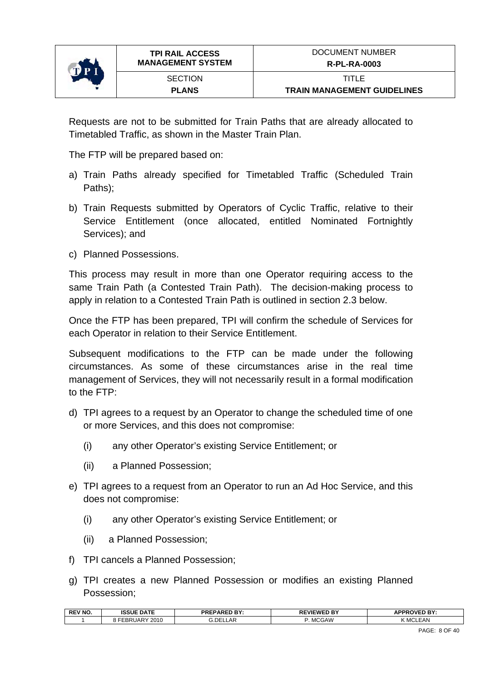

Requests are not to be submitted for Train Paths that are already allocated to Timetabled Traffic, as shown in the Master Train Plan.

The FTP will be prepared based on:

- a) Train Paths already specified for Timetabled Traffic (Scheduled Train Paths);
- b) Train Requests submitted by Operators of Cyclic Traffic, relative to their Service Entitlement (once allocated, entitled Nominated Fortnightly Services); and
- c) Planned Possessions.

This process may result in more than one Operator requiring access to the same Train Path (a Contested Train Path). The decision-making process to apply in relation to a Contested Train Path is outlined in section [2.3](#page-8-1) below.

Once the FTP has been prepared, TPI will confirm the schedule of Services for each Operator in relation to their Service Entitlement.

Subsequent modifications to the FTP can be made under the following circumstances. As some of these circumstances arise in the real time management of Services, they will not necessarily result in a formal modification to the FTP:

- d) TPI agrees to a request by an Operator to change the scheduled time of one or more Services, and this does not compromise:
	- (i) any other Operator's existing Service Entitlement; or
	- (ii) a Planned Possession;
- e) TPI agrees to a request from an Operator to run an Ad Hoc Service, and this does not compromise:
	- (i) any other Operator's existing Service Entitlement; or
	- (ii) a Planned Possession;
- f) TPI cancels a Planned Possession;
- g) TPI creates a new Planned Possession or modifies an existing Planned Possession;

| <b>REV NO.</b> | <b>ISSUE DATE</b>          | <b>EPARED BY:</b><br>PRL | <b>EVIEWED BY</b><br>DЕ<br>66 E | <b><i>NPPROVED BY:</i></b><br>APPR |
|----------------|----------------------------|--------------------------|---------------------------------|------------------------------------|
|                | 2010<br>-<br>"JAR⊻<br>- 0™ | 3.DE<br>_AF              | <b>MCGAW</b>                    | FAN<br>$\sim$<br>י ווי             |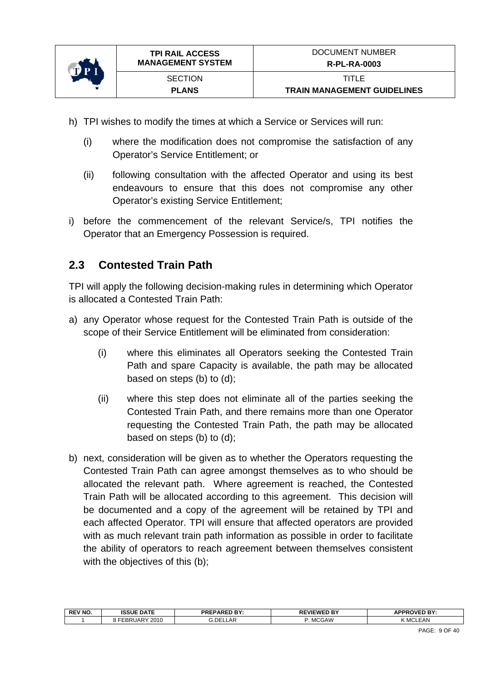<span id="page-8-0"></span>

- h) TPI wishes to modify the times at which a Service or Services will run:
	- (i) where the modification does not compromise the satisfaction of any Operator's Service Entitlement; or
	- (ii) following consultation with the affected Operator and using its best endeavours to ensure that this does not compromise any other Operator's existing Service Entitlement;
- i) before the commencement of the relevant Service/s, TPI notifies the Operator that an Emergency Possession is required.

## <span id="page-8-1"></span>**2.3 Contested Train Path**

TPI will apply the following decision-making rules in determining which Operator is allocated a Contested Train Path:

- a) any Operator whose request for the Contested Train Path is outside of the scope of their Service Entitlement will be eliminated from consideration:
	- (i) where this eliminates all Operators seeking the Contested Train Path and spare Capacity is available, the path may be allocated based on steps (b) to (d);
	- (ii) where this step does not eliminate all of the parties seeking the Contested Train Path, and there remains more than one Operator requesting the Contested Train Path, the path may be allocated based on steps (b) to (d);
- b) next, consideration will be given as to whether the Operators requesting the Contested Train Path can agree amongst themselves as to who should be allocated the relevant path. Where agreement is reached, the Contested Train Path will be allocated according to this agreement. This decision will be documented and a copy of the agreement will be retained by TPI and each affected Operator. TPI will ensure that affected operators are provided with as much relevant train path information as possible in order to facilitate the ability of operators to reach agreement between themselves consistent with the objectives of this (b);

| <b>REV NO.</b> | <b>ISSUE DATE</b>     | <b>DADED RV.</b><br>DD E'<br>-nL.<br>.<br>-- | -VIFWF'<br>$-$<br>. .<br>. . | <b>OVED BY:</b><br><b>APPP</b> |
|----------------|-----------------------|----------------------------------------------|------------------------------|--------------------------------|
|                | 2010<br>EBR<br>, JAP' | G.DELLAR                                     | <b>MCGAW</b>                 | K MCLEAN                       |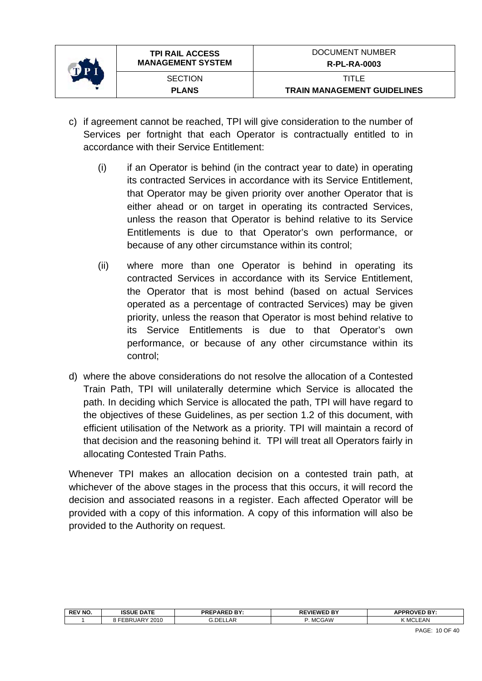

- c) if agreement cannot be reached, TPI will give consideration to the number of Services per fortnight that each Operator is contractually entitled to in accordance with their Service Entitlement:
	- (i) if an Operator is behind (in the contract year to date) in operating its contracted Services in accordance with its Service Entitlement, that Operator may be given priority over another Operator that is either ahead or on target in operating its contracted Services, unless the reason that Operator is behind relative to its Service Entitlements is due to that Operator's own performance, or because of any other circumstance within its control;
	- (ii) where more than one Operator is behind in operating its contracted Services in accordance with its Service Entitlement, the Operator that is most behind (based on actual Services operated as a percentage of contracted Services) may be given priority, unless the reason that Operator is most behind relative to its Service Entitlements is due to that Operator's own performance, or because of any other circumstance within its control;
- d) where the above considerations do not resolve the allocation of a Contested Train Path, TPI will unilaterally determine which Service is allocated the path. In deciding which Service is allocated the path, TPI will have regard to the objectives of these Guidelines, as per section 1.2 of this document, with efficient utilisation of the Network as a priority. TPI will maintain a record of that decision and the reasoning behind it. TPI will treat all Operators fairly in allocating Contested Train Paths.

Whenever TPI makes an allocation decision on a contested train path, at whichever of the above stages in the process that this occurs, it will record the decision and associated reasons in a register. Each affected Operator will be provided with a copy of this information. A copy of this information will also be provided to the Authority on request.

| <b>REV NO.</b> | <b>ISSUE DATE</b>                                  | <b>PREPARED BY:</b> | <b>EVIEWEI</b><br>D BY | <b>APPROVED BY:</b> |
|----------------|----------------------------------------------------|---------------------|------------------------|---------------------|
|                | 2010<br>$\mathsf{u}$ lar $\mathsf{u}$<br>.<br>– אם | ا£DE.<br>.∟LAP      | <b>MCGAW</b>           | K MCLEAN            |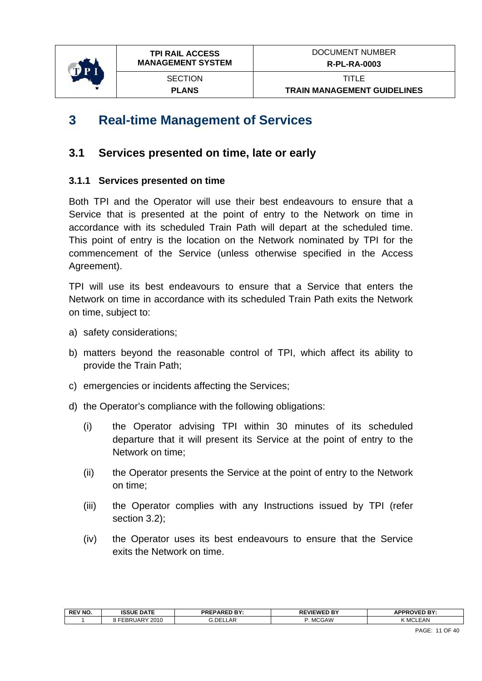<span id="page-10-0"></span>

## **3 Real-time Management of Services**

## **3.1 Services presented on time, late or early**

### **3.1.1 Services presented on time**

Both TPI and the Operator will use their best endeavours to ensure that a Service that is presented at the point of entry to the Network on time in accordance with its scheduled Train Path will depart at the scheduled time. This point of entry is the location on the Network nominated by TPI for the commencement of the Service (unless otherwise specified in the Access Agreement).

TPI will use its best endeavours to ensure that a Service that enters the Network on time in accordance with its scheduled Train Path exits the Network on time, subject to:

- a) safety considerations;
- b) matters beyond the reasonable control of TPI, which affect its ability to provide the Train Path;
- c) emergencies or incidents affecting the Services;
- d) the Operator's compliance with the following obligations:
	- (i) the Operator advising TPI within 30 minutes of its scheduled departure that it will present its Service at the point of entry to the Network on time;
	- (ii) the Operator presents the Service at the point of entry to the Network on time;
	- (iii) the Operator complies with any Instructions issued by TPI (refer section 3.2);
	- (iv) the Operator uses its best endeavours to ensure that the Service exits the Network on time.

| <b>REV NO</b> | <b>ISSUE DATE</b>  | <b>DAPED RY.</b><br><b>PRE</b><br>. .<br>- | <b>REVIEWED BY</b> | <b>APPROVED BY</b> |
|---------------|--------------------|--------------------------------------------|--------------------|--------------------|
|               | 2010<br>JA⊮.<br>-- | LLAR<br>3.DEI                              | <b>MCGAW</b>       | <b>MCLEAN</b>      |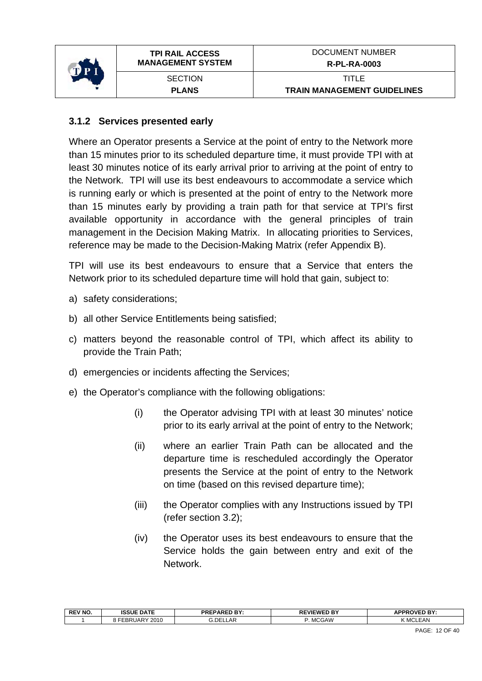

#### **3.1.2 Services presented early**

Where an Operator presents a Service at the point of entry to the Network more than 15 minutes prior to its scheduled departure time, it must provide TPI with at least 30 minutes notice of its early arrival prior to arriving at the point of entry to the Network. TPI will use its best endeavours to accommodate a service which is running early or which is presented at the point of entry to the Network more than 15 minutes early by providing a train path for that service at TPI's first available opportunity in accordance with the general principles of train management in the Decision Making Matrix. In allocating priorities to Services, reference may be made to the Decision-Making Matrix (refer Appendix B).

TPI will use its best endeavours to ensure that a Service that enters the Network prior to its scheduled departure time will hold that gain, subject to:

- a) safety considerations;
- b) all other Service Entitlements being satisfied;
- c) matters beyond the reasonable control of TPI, which affect its ability to provide the Train Path;
- d) emergencies or incidents affecting the Services;
- e) the Operator's compliance with the following obligations:
	- (i) the Operator advising TPI with at least 30 minutes' notice prior to its early arrival at the point of entry to the Network;
	- (ii) where an earlier Train Path can be allocated and the departure time is rescheduled accordingly the Operator presents the Service at the point of entry to the Network on time (based on this revised departure time);
	- (iii) the Operator complies with any Instructions issued by TPI (refer section [3.2](#page-13-1));
	- (iv) the Operator uses its best endeavours to ensure that the Service holds the gain between entry and exit of the **Network**

| <b>REV NO.</b> | <b>ISSUE DATE</b>    | <b>PREPARED BY:</b> | <b>REVIEWED BY</b> | <b>APPROVED BY</b> |
|----------------|----------------------|---------------------|--------------------|--------------------|
|                | 2010<br>UAR'<br>-BR∶ | <b>G.DELLAR</b>     | <b>MCGAW</b>       | <b>KMCLEAN</b>     |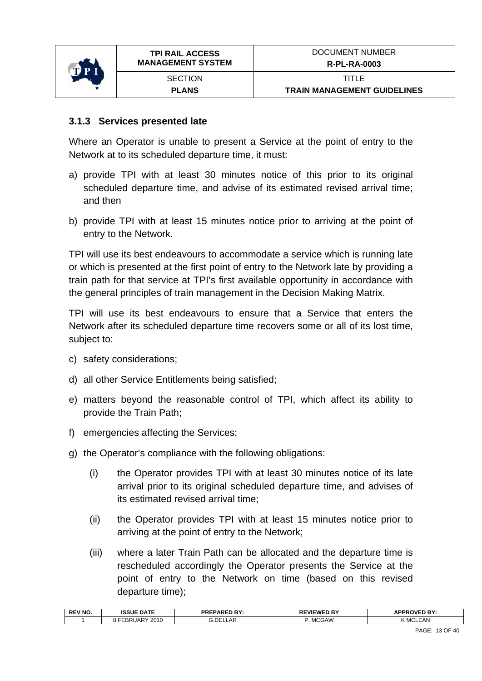

#### **3.1.3 Services presented late**

Where an Operator is unable to present a Service at the point of entry to the Network at to its scheduled departure time, it must:

- a) provide TPI with at least 30 minutes notice of this prior to its original scheduled departure time, and advise of its estimated revised arrival time; and then
- b) provide TPI with at least 15 minutes notice prior to arriving at the point of entry to the Network.

TPI will use its best endeavours to accommodate a service which is running late or which is presented at the first point of entry to the Network late by providing a train path for that service at TPI's first available opportunity in accordance with the general principles of train management in the Decision Making Matrix.

TPI will use its best endeavours to ensure that a Service that enters the Network after its scheduled departure time recovers some or all of its lost time, subject to:

- c) safety considerations;
- d) all other Service Entitlements being satisfied;
- e) matters beyond the reasonable control of TPI, which affect its ability to provide the Train Path;
- f) emergencies affecting the Services;
- g) the Operator's compliance with the following obligations:
	- (i) the Operator provides TPI with at least 30 minutes notice of its late arrival prior to its original scheduled departure time, and advises of its estimated revised arrival time;
	- (ii) the Operator provides TPI with at least 15 minutes notice prior to arriving at the point of entry to the Network;
	- (iii) where a later Train Path can be allocated and the departure time is rescheduled accordingly the Operator presents the Service at the point of entry to the Network on time (based on this revised departure time);

| $ -$<br>$\sim$ | <b>REV NO</b> | <b>ISSUE DATE</b> | DDEDADEN BV.<br>-ռ⊾ | --<br>REVIEWEI<br>. .<br>. . | <b>IPPPOVED RY</b><br>יטטמ<br>mі |
|----------------|---------------|-------------------|---------------------|------------------------------|----------------------------------|
|                |               | 2010<br>JAR       | DEI<br>$\mathbf{a}$ | <b>MCGAW</b>                 | MC<br>:AN                        |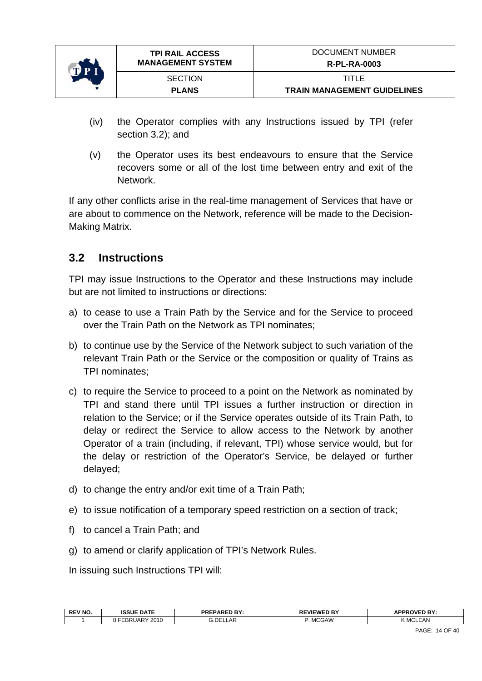<span id="page-13-0"></span>

- (iv) the Operator complies with any Instructions issued by TPI (refer section [3.2\)](#page-13-1); and
- (v) the Operator uses its best endeavours to ensure that the Service recovers some or all of the lost time between entry and exit of the Network.

If any other conflicts arise in the real-time management of Services that have or are about to commence on the Network, reference will be made to the Decision-Making Matrix.

## <span id="page-13-1"></span>**3.2 Instructions**

TPI may issue Instructions to the Operator and these Instructions may include but are not limited to instructions or directions:

- a) to cease to use a Train Path by the Service and for the Service to proceed over the Train Path on the Network as TPI nominates;
- b) to continue use by the Service of the Network subject to such variation of the relevant Train Path or the Service or the composition or quality of Trains as TPI nominates;
- c) to require the Service to proceed to a point on the Network as nominated by TPI and stand there until TPI issues a further instruction or direction in relation to the Service; or if the Service operates outside of its Train Path, to delay or redirect the Service to allow access to the Network by another Operator of a train (including, if relevant, TPI) whose service would, but for the delay or restriction of the Operator's Service, be delayed or further delayed;
- d) to change the entry and/or exit time of a Train Path;
- e) to issue notification of a temporary speed restriction on a section of track;
- f) to cancel a Train Path; and
- g) to amend or clarify application of TPI's Network Rules.

In issuing such Instructions TPI will:

| <b>REV NO</b> | <b>ISSUE DATE</b> | <b>PREPARED BY:</b> | <b>EVIEWED BY</b><br>. . | <b>APPROVED RY</b><br>m |
|---------------|-------------------|---------------------|--------------------------|-------------------------|
|               | 2010<br>·EBRUAR`  | LLAR<br>3.DEI       | <b>MCGAW</b>             | <b>(MCLEAN</b>          |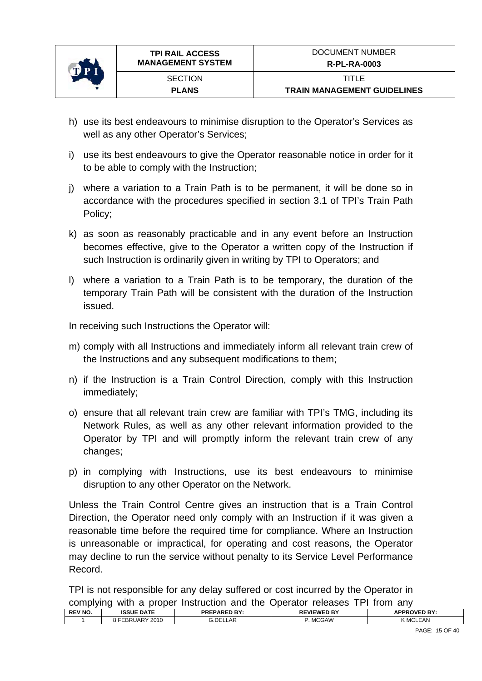

- h) use its best endeavours to minimise disruption to the Operator's Services as well as any other Operator's Services;
- i) use its best endeavours to give the Operator reasonable notice in order for it to be able to comply with the Instruction;
- j) where a variation to a Train Path is to be permanent, it will be done so in accordance with the procedures specified in section 3.1 of TPI's Train Path Policy;
- k) as soon as reasonably practicable and in any event before an Instruction becomes effective, give to the Operator a written copy of the Instruction if such Instruction is ordinarily given in writing by TPI to Operators; and
- l) where a variation to a Train Path is to be temporary, the duration of the temporary Train Path will be consistent with the duration of the Instruction issued.

In receiving such Instructions the Operator will:

- m) comply with all Instructions and immediately inform all relevant train crew of the Instructions and any subsequent modifications to them;
- n) if the Instruction is a Train Control Direction, comply with this Instruction immediately;
- o) ensure that all relevant train crew are familiar with TPI's TMG, including its Network Rules, as well as any other relevant information provided to the Operator by TPI and will promptly inform the relevant train crew of any changes;
- p) in complying with Instructions, use its best endeavours to minimise disruption to any other Operator on the Network.

Unless the Train Control Centre gives an instruction that is a Train Control Direction, the Operator need only comply with an Instruction if it was given a reasonable time before the required time for compliance. Where an Instruction is unreasonable or impractical, for operating and cost reasons, the Operator may decline to run the service without penalty to its Service Level Performance Record.

TPI is not responsible for any delay suffered or cost incurred by the Operator in complying with a proper Instruction and the Operator releases TPI from any

|                | .                      | .<br>-----------    | ---------<br>-------------- |                     |
|----------------|------------------------|---------------------|-----------------------------|---------------------|
| <b>REV NO.</b> | <b>ISSUE DATE</b>      | <b>PREPARED BY:</b> | <b>REVIEWED BY</b>          | <b>APPROVED BY:</b> |
|                | 2010<br><b>EBRUARY</b> | G.DELLAR            | . MCGAW                     | <b>KMCLEAN</b>      |
|                |                        |                     |                             |                     |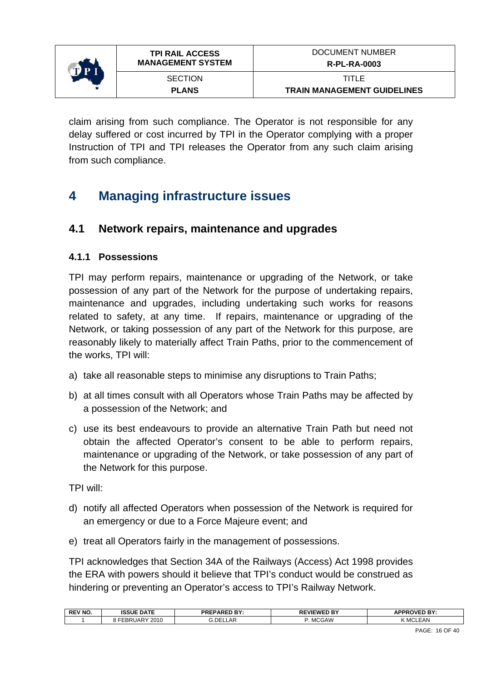<span id="page-15-0"></span>

claim arising from such compliance. The Operator is not responsible for any delay suffered or cost incurred by TPI in the Operator complying with a proper Instruction of TPI and TPI releases the Operator from any such claim arising from such compliance.

# **4 Managing infrastructure issues**

## **4.1 Network repairs, maintenance and upgrades**

#### **4.1.1 Possessions**

TPI may perform repairs, maintenance or upgrading of the Network, or take possession of any part of the Network for the purpose of undertaking repairs, maintenance and upgrades, including undertaking such works for reasons related to safety, at any time. If repairs, maintenance or upgrading of the Network, or taking possession of any part of the Network for this purpose, are reasonably likely to materially affect Train Paths, prior to the commencement of the works, TPI will:

- a) take all reasonable steps to minimise any disruptions to Train Paths;
- b) at all times consult with all Operators whose Train Paths may be affected by a possession of the Network; and
- c) use its best endeavours to provide an alternative Train Path but need not obtain the affected Operator's consent to be able to perform repairs, maintenance or upgrading of the Network, or take possession of any part of the Network for this purpose.

TPI will:

- d) notify all affected Operators when possession of the Network is required for an emergency or due to a Force Majeure event; and
- e) treat all Operators fairly in the management of possessions.

TPI acknowledges that Section 34A of the Railways (Access) Act 1998 provides the ERA with powers should it believe that TPI's conduct would be construed as hindering or preventing an Operator's access to TPI's Railway Network.

| <b>REV NO.</b> | <b>ISSUE DATE</b>     | <br><b>PREPARED</b><br>: דם: | <b>REVIEWED BY</b> | <b>OVED BY:</b><br>8 DDD |
|----------------|-----------------------|------------------------------|--------------------|--------------------------|
|                | 2010<br>RUARY<br>CDR. | <b>G.DELLAR</b>              | <b>MCGAW</b>       | EAN<br>(MCL              |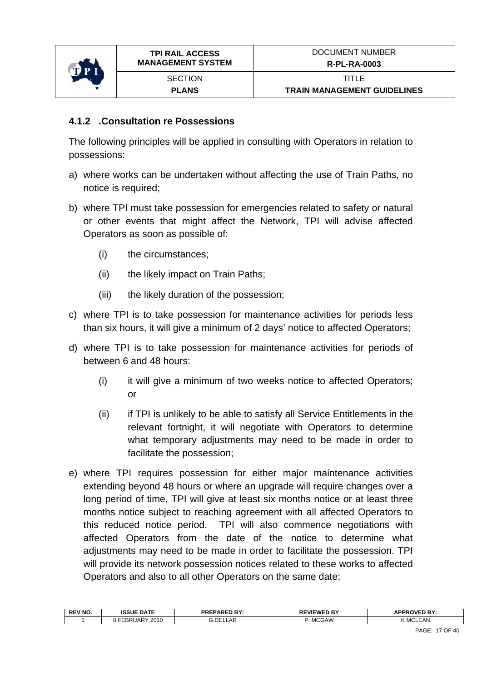

#### **4.1.2 .Consultation re Possessions**

The following principles will be applied in consulting with Operators in relation to possessions:

- a) where works can be undertaken without affecting the use of Train Paths, no notice is required;
- b) where TPI must take possession for emergencies related to safety or natural or other events that might affect the Network, TPI will advise affected Operators as soon as possible of:
	- (i) the circumstances;
	- (ii) the likely impact on Train Paths;
	- (iii) the likely duration of the possession;
- c) where TPI is to take possession for maintenance activities for periods less than six hours, it will give a minimum of 2 days' notice to affected Operators;
- d) where TPI is to take possession for maintenance activities for periods of between 6 and 48 hours:
	- (i) it will give a minimum of two weeks notice to affected Operators; or
	- (ii) if TPI is unlikely to be able to satisfy all Service Entitlements in the relevant fortnight, it will negotiate with Operators to determine what temporary adjustments may need to be made in order to facilitate the possession;
- e) where TPI requires possession for either major maintenance activities extending beyond 48 hours or where an upgrade will require changes over a long period of time, TPI will give at least six months notice or at least three months notice subject to reaching agreement with all affected Operators to this reduced notice period. TPI will also commence negotiations with affected Operators from the date of the notice to determine what adjustments may need to be made in order to facilitate the possession. TPI will provide its network possession notices related to these works to affected Operators and also to all other Operators on the same date;

| <b>REV NO</b> | <b>ISSUE DATE</b>          | <b>PREPARED BY:</b> | L'VIEWED BY<br><b>RF</b> | <b>APPROVED BY:</b> |
|---------------|----------------------------|---------------------|--------------------------|---------------------|
|               | 2010<br><b>BR</b><br>.JAP` | DFI<br>∟AP          | MCGAW<br><b>IVIU</b>     | EAN<br>MO           |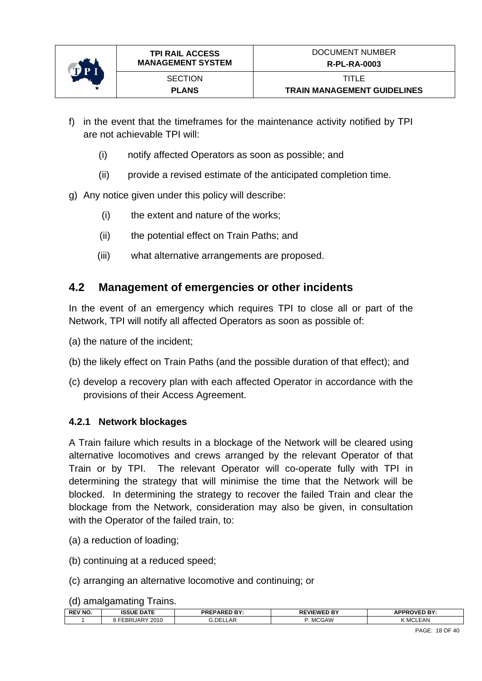<span id="page-17-0"></span>

- f) in the event that the timeframes for the maintenance activity notified by TPI are not achievable TPI will:
	- (i) notify affected Operators as soon as possible; and
	- (ii) provide a revised estimate of the anticipated completion time.
- g) Any notice given under this policy will describe:
	- (i) the extent and nature of the works;
	- (ii) the potential effect on Train Paths; and
	- (iii) what alternative arrangements are proposed.

## **4.2 Management of emergencies or other incidents**

In the event of an emergency which requires TPI to close all or part of the Network, TPI will notify all affected Operators as soon as possible of:

- (a) the nature of the incident;
- (b) the likely effect on Train Paths (and the possible duration of that effect); and
- (c) develop a recovery plan with each affected Operator in accordance with the provisions of their Access Agreement.

#### **4.2.1 Network blockages**

A Train failure which results in a blockage of the Network will be cleared using alternative locomotives and crews arranged by the relevant Operator of that Train or by TPI. The relevant Operator will co-operate fully with TPI in determining the strategy that will minimise the time that the Network will be blocked. In determining the strategy to recover the failed Train and clear the blockage from the Network, consideration may also be given, in consultation with the Operator of the failed train, to:

- (a) a reduction of loading;
- (b) continuing at a reduced speed;
- (c) arranging an alternative locomotive and continuing; or
- (d) amalgamating Trains.

| <b>REV NO.</b> | <b>ISSUE DATE</b> | <b>PREPARED BY:</b><br>DI. | <b><i>EVIEWED BY</i></b><br>n r | <b><i>NPPROVED BY:</i></b> |
|----------------|-------------------|----------------------------|---------------------------------|----------------------------|
|                | 2010<br>_or:      | <b>DEI</b><br>LAR<br>J.VEL | <b>MCGAW</b>                    | <b>EAN</b><br>- MC         |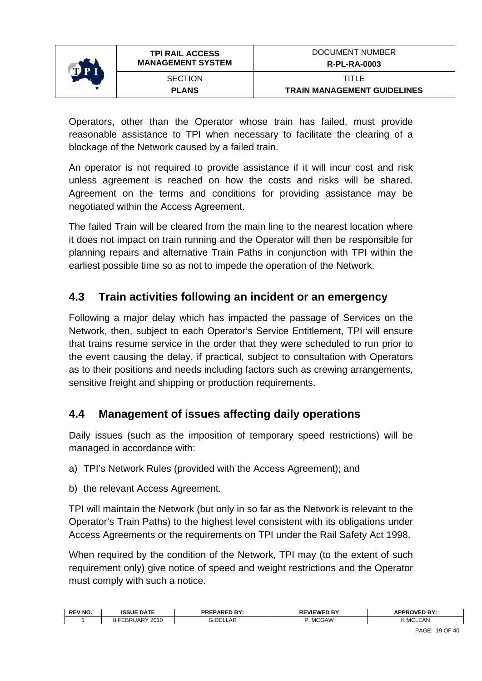<span id="page-18-0"></span>

Operators, other than the Operator whose train has failed, must provide reasonable assistance to TPI when necessary to facilitate the clearing of a blockage of the Network caused by a failed train.

An operator is not required to provide assistance if it will incur cost and risk unless agreement is reached on how the costs and risks will be shared. Agreement on the terms and conditions for providing assistance may be negotiated within the Access Agreement.

The failed Train will be cleared from the main line to the nearest location where it does not impact on train running and the Operator will then be responsible for planning repairs and alternative Train Paths in conjunction with TPI within the earliest possible time so as not to impede the operation of the Network.

## **4.3 Train activities following an incident or an emergency**

Following a major delay which has impacted the passage of Services on the Network, then, subject to each Operator's Service Entitlement, TPI will ensure that trains resume service in the order that they were scheduled to run prior to the event causing the delay, if practical, subject to consultation with Operators as to their positions and needs including factors such as crewing arrangements, sensitive freight and shipping or production requirements.

## **4.4 Management of issues affecting daily operations**

Daily issues (such as the imposition of temporary speed restrictions) will be managed in accordance with:

- a) TPI's Network Rules (provided with the Access Agreement); and
- b) the relevant Access Agreement.

TPI will maintain the Network (but only in so far as the Network is relevant to the Operator's Train Paths) to the highest level consistent with its obligations under Access Agreements or the requirements on TPI under the Rail Safety Act 1998.

When required by the condition of the Network, TPI may (to the extent of such requirement only) give notice of speed and weight restrictions and the Operator must comply with such a notice.

| <b>REV NO</b> | <b>ISSUE DATE</b> | <b>PREPARED BY:</b> | n RV<br>-VIFWF'<br>. . | <b>APPROVED BY:</b><br>. |
|---------------|-------------------|---------------------|------------------------|--------------------------|
|               | 2010<br>.<br>חה   | ⊥AR<br>.DE!         | <b>MCGAW</b>           | MCL<br>LEAN              |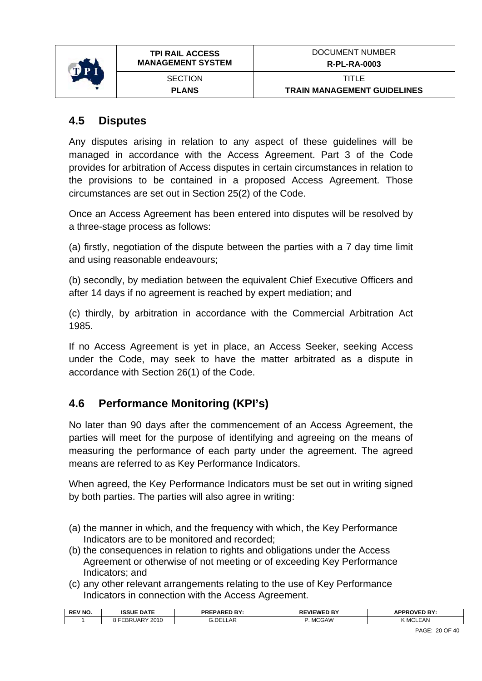<span id="page-19-0"></span>

**TRAIN MANAGEMENT GUIDELINES** 

## **4.5 Disputes**

Any disputes arising in relation to any aspect of these guidelines will be managed in accordance with the Access Agreement. Part 3 of the Code provides for arbitration of Access disputes in certain circumstances in relation to the provisions to be contained in a proposed Access Agreement. Those circumstances are set out in Section 25(2) of the Code.

Once an Access Agreement has been entered into disputes will be resolved by a three-stage process as follows:

(a) firstly, negotiation of the dispute between the parties with a 7 day time limit and using reasonable endeavours;

(b) secondly, by mediation between the equivalent Chief Executive Officers and after 14 days if no agreement is reached by expert mediation; and

(c) thirdly, by arbitration in accordance with the Commercial Arbitration Act 1985.

If no Access Agreement is yet in place, an Access Seeker, seeking Access under the Code, may seek to have the matter arbitrated as a dispute in accordance with Section 26(1) of the Code.

## **4.6 Performance Monitoring (KPI's)**

No later than 90 days after the commencement of an Access Agreement, the parties will meet for the purpose of identifying and agreeing on the means of measuring the performance of each party under the agreement. The agreed means are referred to as Key Performance Indicators.

When agreed, the Key Performance Indicators must be set out in writing signed by both parties. The parties will also agree in writing:

- (a) the manner in which, and the frequency with which, the Key Performance Indicators are to be monitored and recorded;
- (b) the consequences in relation to rights and obligations under the Access Agreement or otherwise of not meeting or of exceeding Key Performance Indicators; and
- (c) any other relevant arrangements relating to the use of Key Performance Indicators in connection with the Access Agreement.

| <b>REV NO.</b> | <b>ISSUE DATE</b> | DDEDADER DV.<br>.              | <b>REVIEWED BY</b> | <b>APPROVED BY:</b>       |
|----------------|-------------------|--------------------------------|--------------------|---------------------------|
|                | 2010<br>EBRUARY   | <b>DE</b><br>$\Delta$ F<br>-ni | <b>MCGAW</b>       | <b>EAN</b><br><b>IVIO</b> |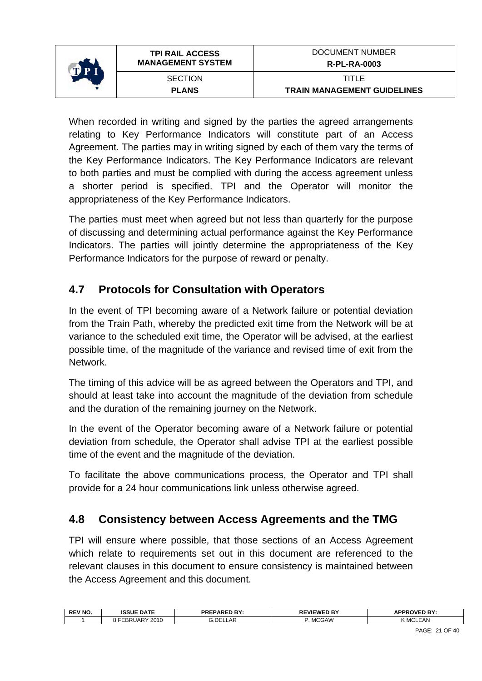<span id="page-20-0"></span>

When recorded in writing and signed by the parties the agreed arrangements relating to Key Performance Indicators will constitute part of an Access Agreement. The parties may in writing signed by each of them vary the terms of the Key Performance Indicators. The Key Performance Indicators are relevant to both parties and must be complied with during the access agreement unless a shorter period is specified. TPI and the Operator will monitor the appropriateness of the Key Performance Indicators.

The parties must meet when agreed but not less than quarterly for the purpose of discussing and determining actual performance against the Key Performance Indicators. The parties will jointly determine the appropriateness of the Key Performance Indicators for the purpose of reward or penalty.

## **4.7 Protocols for Consultation with Operators**

In the event of TPI becoming aware of a Network failure or potential deviation from the Train Path, whereby the predicted exit time from the Network will be at variance to the scheduled exit time, the Operator will be advised, at the earliest possible time, of the magnitude of the variance and revised time of exit from the Network.

The timing of this advice will be as agreed between the Operators and TPI, and should at least take into account the magnitude of the deviation from schedule and the duration of the remaining journey on the Network.

In the event of the Operator becoming aware of a Network failure or potential deviation from schedule, the Operator shall advise TPI at the earliest possible time of the event and the magnitude of the deviation.

To facilitate the above communications process, the Operator and TPI shall provide for a 24 hour communications link unless otherwise agreed.

## **4.8 Consistency between Access Agreements and the TMG**

TPI will ensure where possible, that those sections of an Access Agreement which relate to requirements set out in this document are referenced to the relevant clauses in this document to ensure consistency is maintained between the Access Agreement and this document.

|                                         | <b>APPR</b><br><b>OVED BY:</b><br><b>EVIEWED BY</b> |
|-----------------------------------------|-----------------------------------------------------|
| 'DE.<br>2010<br>UARY<br>_AF<br>nr<br>DК | <b>MCGAW</b><br>101<br>.EAN                         |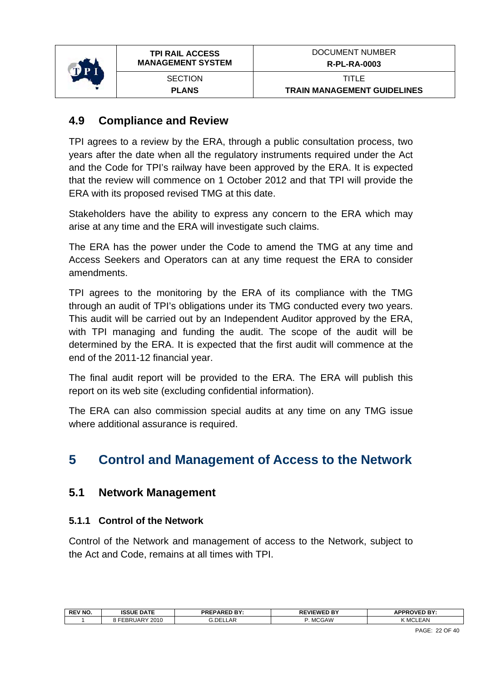<span id="page-21-0"></span>

## **4.9 Compliance and Review**

TPI agrees to a review by the ERA, through a public consultation process, two years after the date when all the regulatory instruments required under the Act and the Code for TPI's railway have been approved by the ERA. It is expected that the review will commence on 1 October 2012 and that TPI will provide the ERA with its proposed revised TMG at this date.

Stakeholders have the ability to express any concern to the ERA which may arise at any time and the ERA will investigate such claims.

The ERA has the power under the Code to amend the TMG at any time and Access Seekers and Operators can at any time request the ERA to consider amendments.

TPI agrees to the monitoring by the ERA of its compliance with the TMG through an audit of TPI's obligations under its TMG conducted every two years. This audit will be carried out by an Independent Auditor approved by the ERA, with TPI managing and funding the audit. The scope of the audit will be determined by the ERA. It is expected that the first audit will commence at the end of the 2011-12 financial year.

The final audit report will be provided to the ERA. The ERA will publish this report on its web site (excluding confidential information).

The ERA can also commission special audits at any time on any TMG issue where additional assurance is required.

## **5 Control and Management of Access to the Network**

### **5.1 Network Management**

#### **5.1.1 Control of the Network**

Control of the Network and management of access to the Network, subject to the Act and Code, remains at all times with TPI.

| <b>REV NO</b> | <b>ISSUE DATE</b>          | <b>PREPARED BY:</b>     | <b>SVIEWE!</b><br>D BY | אם ח<br><b>ADDDC</b><br>∼<br>. |
|---------------|----------------------------|-------------------------|------------------------|--------------------------------|
|               | 2010<br>$\sim$<br>·EBRUAR` | $\sim$<br>3.DEI<br>LLAR | <b>MCGAW</b>           | .EAN<br>, MCLF                 |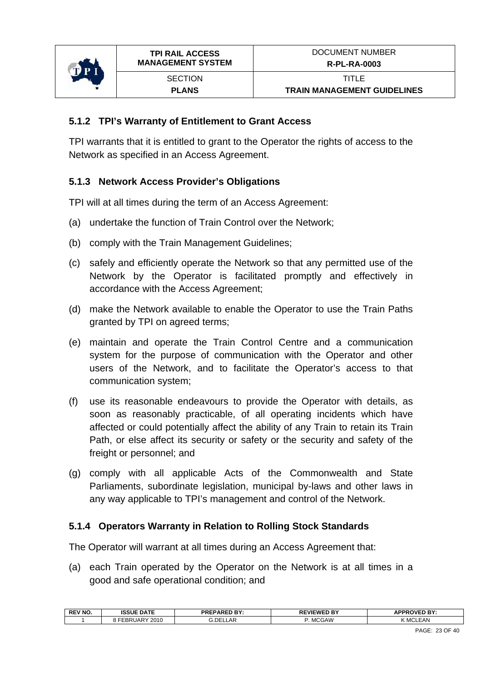

#### **5.1.2 TPI's Warranty of Entitlement to Grant Access**

TPI warrants that it is entitled to grant to the Operator the rights of access to the Network as specified in an Access Agreement.

#### **5.1.3 Network Access Provider's Obligations**

TPI will at all times during the term of an Access Agreement:

- (a) undertake the function of Train Control over the Network;
- (b) comply with the Train Management Guidelines;
- (c) safely and efficiently operate the Network so that any permitted use of the Network by the Operator is facilitated promptly and effectively in accordance with the Access Agreement;
- (d) make the Network available to enable the Operator to use the Train Paths granted by TPI on agreed terms;
- (e) maintain and operate the Train Control Centre and a communication system for the purpose of communication with the Operator and other users of the Network, and to facilitate the Operator's access to that communication system;
- (f) use its reasonable endeavours to provide the Operator with details, as soon as reasonably practicable, of all operating incidents which have affected or could potentially affect the ability of any Train to retain its Train Path, or else affect its security or safety or the security and safety of the freight or personnel; and
- (g) comply with all applicable Acts of the Commonwealth and State Parliaments, subordinate legislation, municipal by-laws and other laws in any way applicable to TPI's management and control of the Network.

#### **5.1.4 Operators Warranty in Relation to Rolling Stock Standards**

The Operator will warrant at all times during an Access Agreement that:

(a) each Train operated by the Operator on the Network is at all times in a good and safe operational condition; and

| <b>REV NO</b> | <b>ISSUE DATE</b> | <b>PREPARED BY:</b> | $-$<br><b>VIEWE</b>  | n RV<br>OVEL.<br>. . |
|---------------|-------------------|---------------------|----------------------|----------------------|
|               | 2010<br>UAR<br>DК | . DEI<br>.AR        | <b>MCGAW</b><br>UAVV | <b>EAN</b><br>MCL    |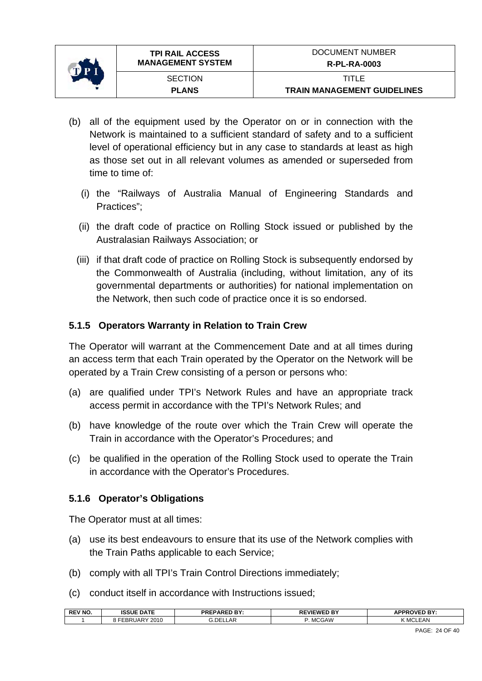

- (b) all of the equipment used by the Operator on or in connection with the Network is maintained to a sufficient standard of safety and to a sufficient level of operational efficiency but in any case to standards at least as high as those set out in all relevant volumes as amended or superseded from time to time of:
	- (i) the "Railways of Australia Manual of Engineering Standards and Practices";
	- (ii) the draft code of practice on Rolling Stock issued or published by the Australasian Railways Association; or
	- (iii) if that draft code of practice on Rolling Stock is subsequently endorsed by the Commonwealth of Australia (including, without limitation, any of its governmental departments or authorities) for national implementation on the Network, then such code of practice once it is so endorsed.

### **5.1.5 Operators Warranty in Relation to Train Crew**

The Operator will warrant at the Commencement Date and at all times during an access term that each Train operated by the Operator on the Network will be operated by a Train Crew consisting of a person or persons who:

- (a) are qualified under TPI's Network Rules and have an appropriate track access permit in accordance with the TPI's Network Rules; and
- (b) have knowledge of the route over which the Train Crew will operate the Train in accordance with the Operator's Procedures; and
- (c) be qualified in the operation of the Rolling Stock used to operate the Train in accordance with the Operator's Procedures.

### **5.1.6 Operator's Obligations**

The Operator must at all times:

- (a) use its best endeavours to ensure that its use of the Network complies with the Train Paths applicable to each Service;
- (b) comply with all TPI's Train Control Directions immediately;
- (c) conduct itself in accordance with Instructions issued;

| <b>REV NO</b> | <b>ISSUE DATE</b>            | <b>PREPARED BY:</b> | <b>EVIEWED BY</b><br>DЕ<br>RL | <b>ROVED BY:</b><br><b>IDDD</b> |
|---------------|------------------------------|---------------------|-------------------------------|---------------------------------|
|               | 2010<br>RUARY<br>DD.<br>- ספ | <b>G.DELLAR</b>     | <b>MCGAW</b>                  | EAN<br>$\sim$<br>MCL            |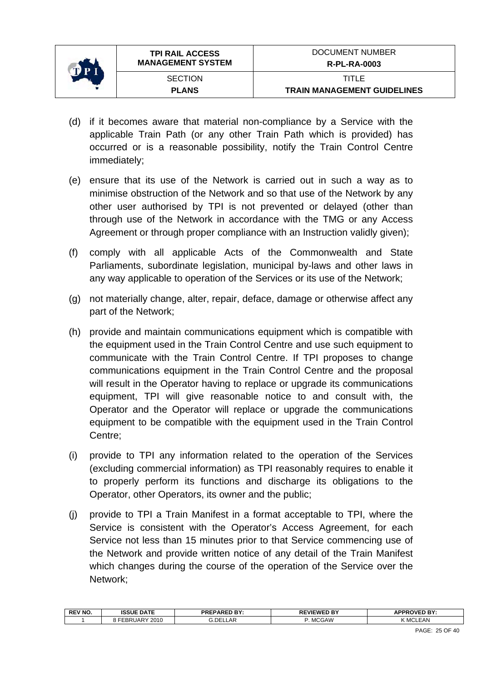

- (d) if it becomes aware that material non-compliance by a Service with the applicable Train Path (or any other Train Path which is provided) has occurred or is a reasonable possibility, notify the Train Control Centre immediately;
- (e) ensure that its use of the Network is carried out in such a way as to minimise obstruction of the Network and so that use of the Network by any other user authorised by TPI is not prevented or delayed (other than through use of the Network in accordance with the TMG or any Access Agreement or through proper compliance with an Instruction validly given);
- (f) comply with all applicable Acts of the Commonwealth and State Parliaments, subordinate legislation, municipal by-laws and other laws in any way applicable to operation of the Services or its use of the Network;
- (g) not materially change, alter, repair, deface, damage or otherwise affect any part of the Network;
- (h) provide and maintain communications equipment which is compatible with the equipment used in the Train Control Centre and use such equipment to communicate with the Train Control Centre. If TPI proposes to change communications equipment in the Train Control Centre and the proposal will result in the Operator having to replace or upgrade its communications equipment, TPI will give reasonable notice to and consult with, the Operator and the Operator will replace or upgrade the communications equipment to be compatible with the equipment used in the Train Control Centre;
- (i) provide to TPI any information related to the operation of the Services (excluding commercial information) as TPI reasonably requires to enable it to properly perform its functions and discharge its obligations to the Operator, other Operators, its owner and the public;
- (j) provide to TPI a Train Manifest in a format acceptable to TPI, where the Service is consistent with the Operator's Access Agreement, for each Service not less than 15 minutes prior to that Service commencing use of the Network and provide written notice of any detail of the Train Manifest which changes during the course of the operation of the Service over the Network;

| ∟AR<br><b>MCGAW</b><br>MCL<br><b>EAN</b><br>2010<br>DE<br>JAP.<br>nк | <b>REV NO</b> | <b>ISSUE DATE</b> | <b>PREPARED BY:</b><br>. | <b>EVIEWED BY</b><br>ĸ<br>. . | APPROVED BY<br>mι<br>. . |
|----------------------------------------------------------------------|---------------|-------------------|--------------------------|-------------------------------|--------------------------|
|                                                                      |               |                   |                          |                               |                          |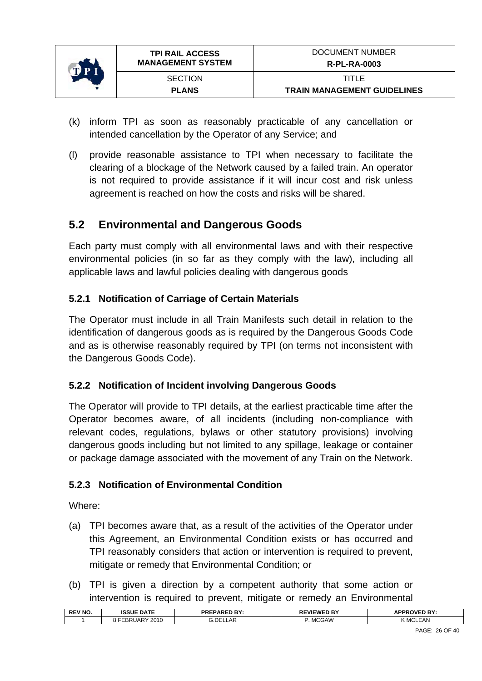<span id="page-25-0"></span>

- (k) inform TPI as soon as reasonably practicable of any cancellation or intended cancellation by the Operator of any Service; and
- (l) provide reasonable assistance to TPI when necessary to facilitate the clearing of a blockage of the Network caused by a failed train. An operator is not required to provide assistance if it will incur cost and risk unless agreement is reached on how the costs and risks will be shared.

## **5.2 Environmental and Dangerous Goods**

Each party must comply with all environmental laws and with their respective environmental policies (in so far as they comply with the law), including all applicable laws and lawful policies dealing with dangerous goods

### **5.2.1 Notification of Carriage of Certain Materials**

The Operator must include in all Train Manifests such detail in relation to the identification of dangerous goods as is required by the Dangerous Goods Code and as is otherwise reasonably required by TPI (on terms not inconsistent with the Dangerous Goods Code).

### **5.2.2 Notification of Incident involving Dangerous Goods**

The Operator will provide to TPI details, at the earliest practicable time after the Operator becomes aware, of all incidents (including non-compliance with relevant codes, regulations, bylaws or other statutory provisions) involving dangerous goods including but not limited to any spillage, leakage or container or package damage associated with the movement of any Train on the Network.

### **5.2.3 Notification of Environmental Condition**

Where:

- (a) TPI becomes aware that, as a result of the activities of the Operator under this Agreement, an Environmental Condition exists or has occurred and TPI reasonably considers that action or intervention is required to prevent, mitigate or remedy that Environmental Condition; or
- (b) TPI is given a direction by a competent authority that some action or intervention is required to prevent, mitigate or remedy an Environmental

| <b>REV NO.</b> | <b>ISSUE DATE</b> | <b>PREPARED BY:</b> | <b>VIEWED BY</b><br>-- | <b>APPROVED RY</b><br>. в |
|----------------|-------------------|---------------------|------------------------|---------------------------|
|                | 2010              | G.DELI              | <b>GAW</b>             | EAN                       |
|                | $\mathbf{u}$      | .AR                 | . MC                   | -MG                       |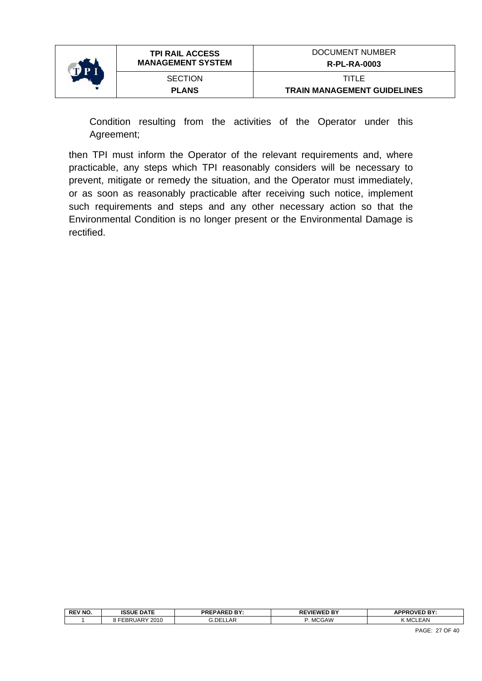

Condition resulting from the activities of the Operator under this Agreement;

then TPI must inform the Operator of the relevant requirements and, where practicable, any steps which TPI reasonably considers will be necessary to prevent, mitigate or remedy the situation, and the Operator must immediately, or as soon as reasonably practicable after receiving such notice, implement such requirements and steps and any other necessary action so that the Environmental Condition is no longer present or the Environmental Damage is rectified.

| <b>REV NO.</b> | <b>ISSUE DATE</b>            | <b>PREPARED BY:</b> | <b>REVIEWED BY</b><br>◡∟ | <b>\PPROVED RY:</b><br>-- |
|----------------|------------------------------|---------------------|--------------------------|---------------------------|
|                | 2010<br>IAP<br>-----<br>- DF | <b>G.DELLAR</b>     | <b>MCGAW</b>             | .EAN<br>Y MCL'            |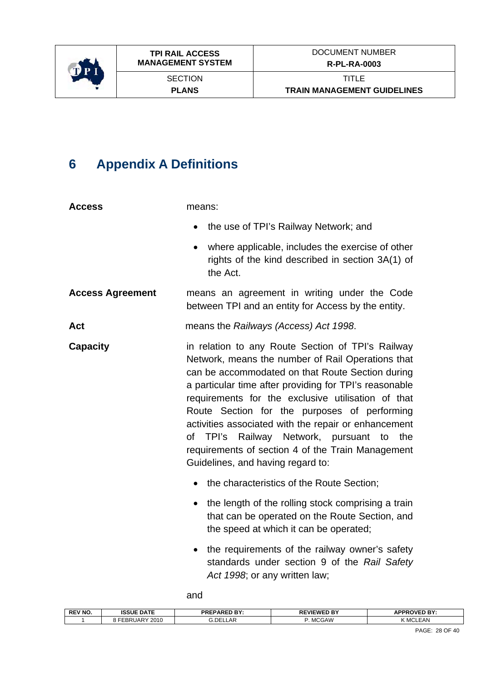<span id="page-27-0"></span>

## **6 Appendix A Definitions**

| <b>Access</b>           | means:                                                                                                                                                                                                                                                                                                                                                                                                                                                                                                                       |
|-------------------------|------------------------------------------------------------------------------------------------------------------------------------------------------------------------------------------------------------------------------------------------------------------------------------------------------------------------------------------------------------------------------------------------------------------------------------------------------------------------------------------------------------------------------|
|                         | the use of TPI's Railway Network; and<br>$\bullet$                                                                                                                                                                                                                                                                                                                                                                                                                                                                           |
|                         | where applicable, includes the exercise of other<br>rights of the kind described in section 3A(1) of<br>the Act.                                                                                                                                                                                                                                                                                                                                                                                                             |
| <b>Access Agreement</b> | means an agreement in writing under the Code<br>between TPI and an entity for Access by the entity.                                                                                                                                                                                                                                                                                                                                                                                                                          |
| Act                     | means the Railways (Access) Act 1998.                                                                                                                                                                                                                                                                                                                                                                                                                                                                                        |
| <b>Capacity</b>         | in relation to any Route Section of TPI's Railway<br>Network, means the number of Rail Operations that<br>can be accommodated on that Route Section during<br>a particular time after providing for TPI's reasonable<br>requirements for the exclusive utilisation of that<br>Route Section for the purposes of performing<br>activities associated with the repair or enhancement<br>of TPI's Railway Network, pursuant to<br>the<br>requirements of section 4 of the Train Management<br>Guidelines, and having regard to: |
|                         | the characteristics of the Route Section;<br>$\bullet$                                                                                                                                                                                                                                                                                                                                                                                                                                                                       |
|                         | the length of the rolling stock comprising a train<br>$\bullet$<br>that can be operated on the Route Section, and<br>the speed at which it can be operated;                                                                                                                                                                                                                                                                                                                                                                  |
|                         | the requirements of the railway owner's safety<br>$\bullet$<br>standards under section 9 of the Rail Safety<br>Act 1998; or any written law;                                                                                                                                                                                                                                                                                                                                                                                 |

and

| <b>REV NC</b><br>πь<br> | <b>ISSUE DATE</b>          | <b>DDEDADED RV-</b><br>7 R L<br>. | EWED BY<br>nг                            | <b>ADDDOVED RY-</b><br>.<br>- |
|-------------------------|----------------------------|-----------------------------------|------------------------------------------|-------------------------------|
|                         | 2010<br>RUAR'<br>ם כ<br>oπ | . DE'<br>.AF                      | <b>MCGAW</b><br>$\overline{\phantom{0}}$ | <b>EAN</b><br><b>M</b>        |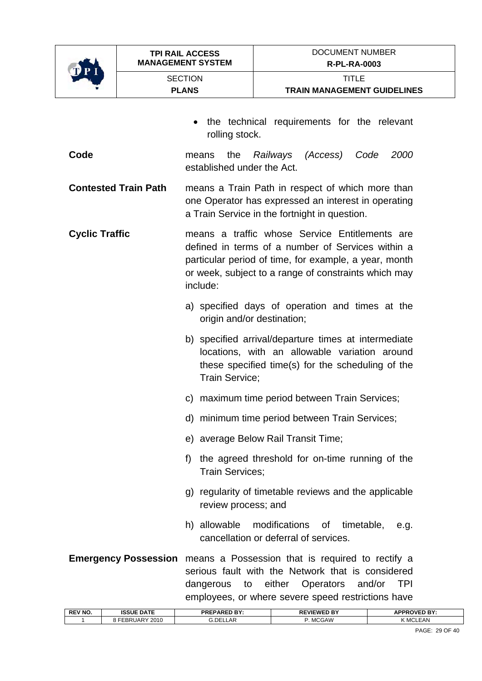

**SECTION PLANS** 

- the technical requirements for the relevant rolling stock.
- **Code** means the *Railways (Access) Code 2000* established under the Act.
- **Contested Train Path** means a Train Path in respect of which more than one Operator has expressed an interest in operating a Train Service in the fortnight in question.
- **Cyclic Traffic** means a traffic whose Service Entitlements are defined in terms of a number of Services within a particular period of time, for example, a year, month or week, subject to a range of constraints which may include:
	- a) specified days of operation and times at the origin and/or destination;
	- b) specified arrival/departure times at intermediate locations, with an allowable variation around these specified time(s) for the scheduling of the Train Service;
	- c) maximum time period between Train Services;
	- d) minimum time period between Train Services;
	- e) average Below Rail Transit Time;
	- f) the agreed threshold for on-time running of the Train Services;
	- g) regularity of timetable reviews and the applicable review process; and
	- h) allowable modifications of timetable, e.g. cancellation or deferral of services.

**Emergency Possession** means a Possession that is required to rectify a serious fault with the Network that is considered dangerous to either Operators and/or TPI employees, or where severe speed restrictions have

| <b>REV NO</b> | <b>ISSUE DATE</b>      | <b>PREPARED BY:</b> | <b>REVIEWED BY</b> | <b>APPROVED BY:</b> |
|---------------|------------------------|---------------------|--------------------|---------------------|
|               | 2010<br><b>EBRUARY</b> | 3.DEL<br><b>LAR</b> | <b>MCGAW</b>       | <b>K MCLEAN</b>     |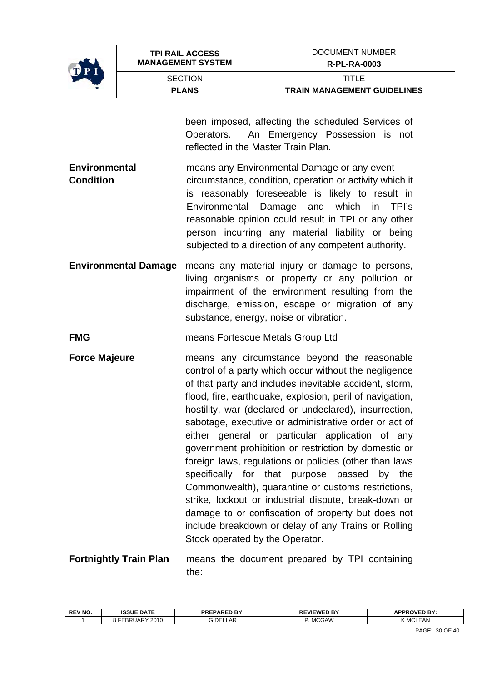

**SECTION PLANS** 

been imposed, affecting the scheduled Services of Operators. An Emergency Possession is not reflected in the Master Train Plan.

- **Environmental** means any Environmental Damage or any event **Condition Condition circumstance, condition, operation or activity which it** is reasonably foreseeable is likely to result in Environmental Damage and which in TPI's reasonable opinion could result in TPI or any other person incurring any material liability or being subjected to a direction of any competent authority.
- **Environmental Damage** means any material injury or damage to persons, living organisms or property or any pollution or impairment of the environment resulting from the discharge, emission, escape or migration of any substance, energy, noise or vibration.
- **FMG EXECUTE: FMG EXECUTE: MEANS** Fortescue Metals Group Ltd
- **Force Majeure means** any circumstance beyond the reasonable control of a party which occur without the negligence of that party and includes inevitable accident, storm, flood, fire, earthquake, explosion, peril of navigation, hostility, war (declared or undeclared), insurrection, sabotage, executive or administrative order or act of either general or particular application of any government prohibition or restriction by domestic or foreign laws, regulations or policies (other than laws specifically for that purpose passed by the Commonwealth), quarantine or customs restrictions, strike, lockout or industrial dispute, break-down or damage to or confiscation of property but does not include breakdown or delay of any Trains or Rolling Stock operated by the Operator.
- **Fortnightly Train Plan** means the document prepared by TPI containing the:

| <b>REV NO</b> | <b>ISSUE DATE</b> | <b>PREPARED BY:</b> | <b>REVIEWED BY</b> | <b>APPROVED BY:</b> |
|---------------|-------------------|---------------------|--------------------|---------------------|
|               | 2010              | .DEI                | <b>MCGAW</b>       | M                   |
|               | JAR               | LLAP                | M                  | $ \triangle$ Ni     |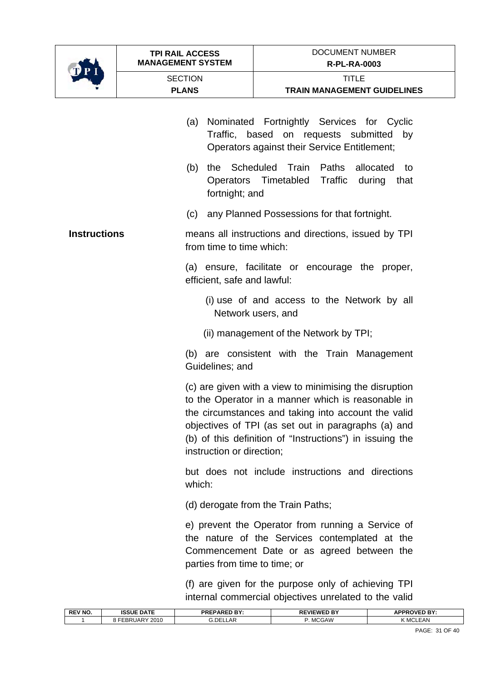

| <b>SECTION</b><br><b>PLANS</b> |                                               | TITI F<br><b>TRAIN MANAGEMENT GUIDELINES</b> |  |  |
|--------------------------------|-----------------------------------------------|----------------------------------------------|--|--|
|                                | (a) Nominated Fortnightly Services for Cyclic |                                              |  |  |

Traffic, based on requests submitted by Operators against their Service Entitlement; (b) the Scheduled Train Paths allocated to Operators Timetabled Traffic during that fortnight; and (c) any Planned Possessions for that fortnight. **Instructions means all instructions and directions, issued by TPI** from time to time which: (a) ensure, facilitate or encourage the proper, efficient, safe and lawful: (i) use of and access to the Network by all Network users, and (ii) management of the Network by TPI; (b) are consistent with the Train Management Guidelines; and (c) are given with a view to minimising the disruption to the Operator in a manner which is reasonable in the circumstances and taking into account the valid objectives of TPI (as set out in paragraphs (a) and (b) of this definition of "Instructions") in issuing the instruction or direction; but does not include instructions and directions which: (d) derogate from the Train Paths; e) prevent the Operator from running a Service of the nature of the Services contemplated at the Commencement Date or as agreed between the parties from time to time; or

(f) are given for the purpose only of achieving TPI internal commercial objectives unrelated to the valid

| <b>REV NO</b> | <b>ISSUE DATE</b> | <b>PREPARED BY:</b><br>:זםי | EVIEWED BY<br>ᇛ<br>πс | <b>APPROVED BY:</b>       |
|---------------|-------------------|-----------------------------|-----------------------|---------------------------|
|               | 2010<br>$\sim$    | 3.DE'<br>_AF                | <b>GAW</b>            | <b>KMCL</b><br><b>EAN</b> |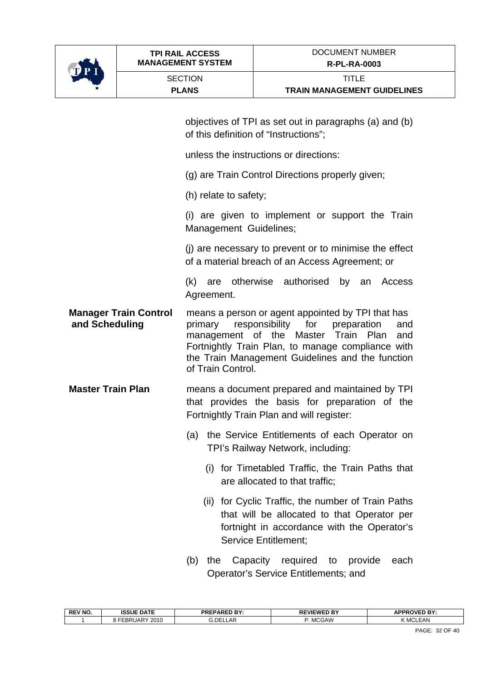

objectives of TPI as set out in paragraphs (a) and (b) of this definition of "Instructions";

unless the instructions or directions:

(g) are Train Control Directions properly given;

(h) relate to safety;

(i) are given to implement or support the Train Management Guidelines;

(j) are necessary to prevent or to minimise the effect of a material breach of an Access Agreement; or

(k) are otherwise authorised by an Access Agreement.

**Manager Train Control** means a person or agent appointed by TPI that has  **and Scheduling** primary responsibility for preparation and management of the Master Train Plan and Fortnightly Train Plan, to manage compliance with the Train Management Guidelines and the function of Train Control.

**Master Train Plan** means a document prepared and maintained by TPI that provides the basis for preparation of the Fortnightly Train Plan and will register:

- (a) the Service Entitlements of each Operator on TPI's Railway Network, including:
	- (i) for Timetabled Traffic, the Train Paths that are allocated to that traffic;
	- (ii) for Cyclic Traffic, the number of Train Paths that will be allocated to that Operator per fortnight in accordance with the Operator's Service Entitlement;
- (b) the Capacity required to provide each Operator's Service Entitlements; and

| <b>DEL</b><br>۵AW<br>$\sim$<br>2010<br>∴JAR <sup>V</sup><br>∍∟<br>M<br>АF<br>IVI!<br>אר |  |
|-----------------------------------------------------------------------------------------|--|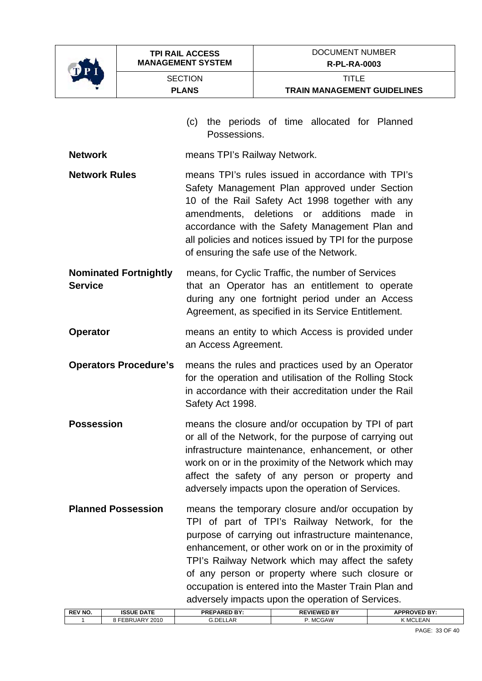

| O P I                |                              |                                |                                                                                                                                                                                                                                                                                                                                                        |
|----------------------|------------------------------|--------------------------------|--------------------------------------------------------------------------------------------------------------------------------------------------------------------------------------------------------------------------------------------------------------------------------------------------------------------------------------------------------|
|                      |                              | <b>SECTION</b><br><b>PLANS</b> | <b>TITLE</b><br><b>TRAIN MANAGEMENT GUIDELINES</b>                                                                                                                                                                                                                                                                                                     |
|                      |                              | (c)<br>Possessions.            | the periods of time allocated for Planned                                                                                                                                                                                                                                                                                                              |
| <b>Network</b>       |                              | means TPI's Railway Network.   |                                                                                                                                                                                                                                                                                                                                                        |
| <b>Network Rules</b> |                              | amendments,                    | means TPI's rules issued in accordance with TPI's<br>Safety Management Plan approved under Section<br>10 of the Rail Safety Act 1998 together with any<br>deletions or additions<br>made<br>in<br>accordance with the Safety Management Plan and<br>all policies and notices issued by TPI for the purpose<br>of ensuring the safe use of the Network. |
| Service              | <b>Nominated Fortnightly</b> |                                | means, for Cyclic Traffic, the number of Services<br>that an Operator has an entitlement to operate<br>during any one fortnight period under an Access<br>Agreement, as specified in its Service Entitlement.                                                                                                                                          |
| <b>Operator</b>      |                              | an Access Agreement.           | means an entity to which Access is provided under                                                                                                                                                                                                                                                                                                      |
|                      | <b>Operators Procedure's</b> | Safety Act 1998.               | means the rules and practices used by an Operator<br>for the operation and utilisation of the Rolling Stock<br>in accordance with their accreditation under the Rail                                                                                                                                                                                   |
| Possession           |                              |                                | means the closure and/or occupation by TPI of part<br>or all of the Network, for the purpose of carrying out<br>infrastructure maintenance, enhancement, or other<br>work on or in the proximity of the Network which may<br>affect the safety of any person or property and<br>adversely impacts upon the operation of Services.                      |

**Planned Possession** means the temporary closure and/or occupation by TPI of part of TPI's Railway Network, for the purpose of carrying out infrastructure maintenance, enhancement, or other work on or in the proximity of TPI's Railway Network which may affect the safety of any person or property where such closure or occupation is entered into the Master Train Plan and adversely impacts upon the operation of Services.

| <b>REV NO</b> | <b>ISSUE DATE</b>         | <b>PREPARED BY:</b><br>. . | , BY<br>.FWED.<br>"VIL<br>DЕ<br>π⊾<br>-- | <b>APPROVED BY:</b> |
|---------------|---------------------------|----------------------------|------------------------------------------|---------------------|
|               | 2010<br><b>UARY</b><br>nг | .DE'<br>_AF                | MCGAW<br><b>IVIL.V</b>                   | $\sim$<br>FAN       |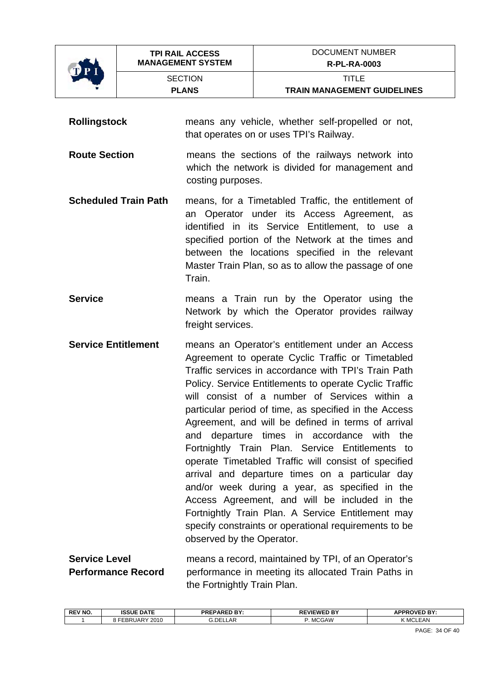

**SECTION PLANS** 

**Rollingstock** means any vehicle, whether self-propelled or not, that operates on or uses TPI's Railway.

**Route Section** means the sections of the railways network into which the network is divided for management and costing purposes.

- **Scheduled Train Path** means, for a Timetabled Traffic, the entitlement of an Operator under its Access Agreement, as identified in its Service Entitlement, to use a specified portion of the Network at the times and between the locations specified in the relevant Master Train Plan, so as to allow the passage of one Train.
- **Service Example 20** means a Train run by the Operator using the Network by which the Operator provides railway freight services.
- **Service Entitlement** means an Operator's entitlement under an Access Agreement to operate Cyclic Traffic or Timetabled Traffic services in accordance with TPI's Train Path Policy. Service Entitlements to operate Cyclic Traffic will consist of a number of Services within a particular period of time, as specified in the Access Agreement, and will be defined in terms of arrival and departure times in accordance with the Fortnightly Train Plan. Service Entitlements to operate Timetabled Traffic will consist of specified arrival and departure times on a particular day and/or week during a year, as specified in the Access Agreement, and will be included in the Fortnightly Train Plan. A Service Entitlement may specify constraints or operational requirements to be observed by the Operator.
- **Service Level means a record, maintained by TPI, of an Operator's Performance Record** performance in meeting its allocated Train Paths in the Fortnightly Train Plan.

| <b>REV NO.</b> | <b>ISSUE DATE</b>                | <b>PREPARED BY:</b> | EWED BY<br>DЕ | <b>APPROVED BY:</b>              |
|----------------|----------------------------------|---------------------|---------------|----------------------------------|
|                | 2010<br>$\mathcal{M}$ JARV<br>-- | ۵.DE'<br>ΔF<br>-ni  | <b>MCGAW</b>  | FAN<br>ız i<br>. MC <sup>I</sup> |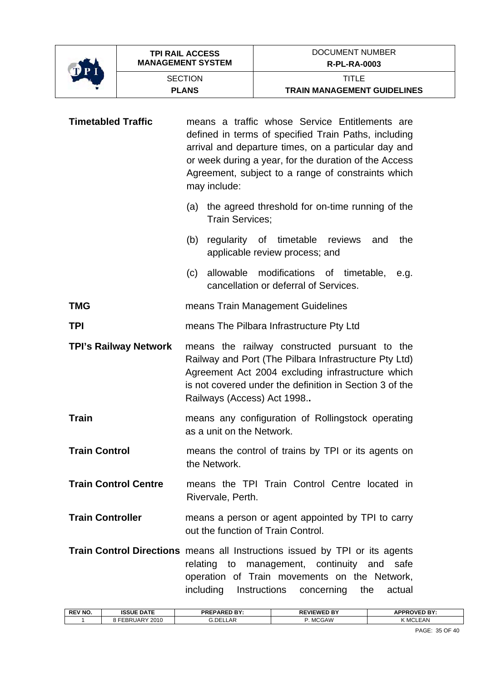

| <b>Timetabled Traffic</b>    | means a traffic whose Service Entitlements are<br>defined in terms of specified Train Paths, including<br>arrival and departure times, on a particular day and<br>or week during a year, for the duration of the Access<br>Agreement, subject to a range of constraints which<br>may include: |  |
|------------------------------|-----------------------------------------------------------------------------------------------------------------------------------------------------------------------------------------------------------------------------------------------------------------------------------------------|--|
|                              | the agreed threshold for on-time running of the<br>(a)<br><b>Train Services:</b>                                                                                                                                                                                                              |  |
|                              | regularity of timetable reviews<br>the<br>(b)<br>and<br>applicable review process; and                                                                                                                                                                                                        |  |
|                              | allowable<br>modifications of timetable,<br>(c)<br>e.g.<br>cancellation or deferral of Services.                                                                                                                                                                                              |  |
| <b>TMG</b>                   | means Train Management Guidelines                                                                                                                                                                                                                                                             |  |
| <b>TPI</b>                   | means The Pilbara Infrastructure Pty Ltd                                                                                                                                                                                                                                                      |  |
| <b>TPI's Railway Network</b> | means the railway constructed pursuant to the<br>Railway and Port (The Pilbara Infrastructure Pty Ltd)<br>Agreement Act 2004 excluding infrastructure which<br>is not covered under the definition in Section 3 of the<br>Railways (Access) Act 1998                                          |  |
| <b>Train</b>                 | means any configuration of Rollingstock operating<br>as a unit on the Network.                                                                                                                                                                                                                |  |
| <b>Train Control</b>         | means the control of trains by TPI or its agents on<br>the Network.                                                                                                                                                                                                                           |  |
| <b>Train Control Centre</b>  | means the TPI Train Control Centre located in<br>Rivervale, Perth.                                                                                                                                                                                                                            |  |
| <b>Train Controller</b>      | means a person or agent appointed by TPI to carry<br>out the function of Train Control.                                                                                                                                                                                                       |  |
|                              | Train Control Directions means all Instructions issued by TPI or its agents<br>relating to management, continuity and safe<br>operation of Train movements on the Network,<br>including Instructions concerning<br>the<br>actual                                                              |  |

| <b>REV NO.</b> | <b>ISSUE DATE</b>                | <b>PREPARED BY:</b> | <b>REVIEWED BY</b> | <b>?OVED BY:</b><br>A D D D<br>- 1 |
|----------------|----------------------------------|---------------------|--------------------|------------------------------------|
|                | 2010<br>$\mathcal{A}$ UARY<br>-- | 3.DEI<br>LAF        | . MCGAW            | <b>EAN</b><br>ız m<br>< MCL        |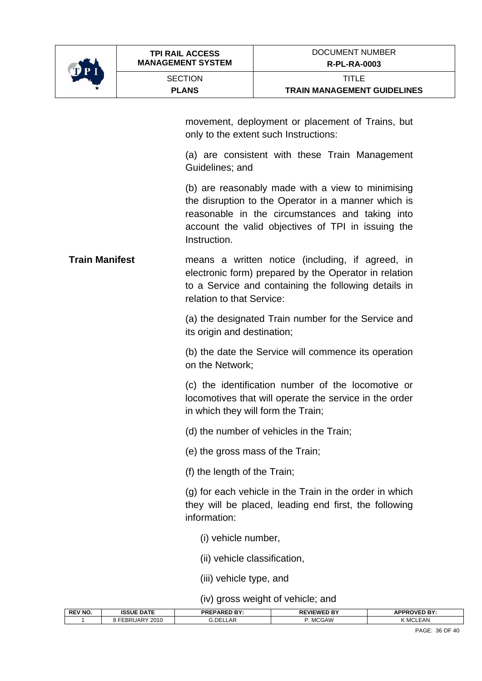

**SECTION PLANS** 

movement, deployment or placement of Trains, but only to the extent such Instructions:

 (a) are consistent with these Train Management Guidelines; and

 (b) are reasonably made with a view to minimising the disruption to the Operator in a manner which is reasonable in the circumstances and taking into account the valid objectives of TPI in issuing the Instruction.

**Train Manifest means a written notice (including, if agreed, in** electronic form) prepared by the Operator in relation to a Service and containing the following details in relation to that Service:

> (a) the designated Train number for the Service and its origin and destination;

> (b) the date the Service will commence its operation on the Network;

> (c) the identification number of the locomotive or locomotives that will operate the service in the order in which they will form the Train;

(d) the number of vehicles in the Train;

(e) the gross mass of the Train;

(f) the length of the Train;

(g) for each vehicle in the Train in the order in which they will be placed, leading end first, the following information:

(i) vehicle number,

(ii) vehicle classification,

(iii) vehicle type, and

(iv) gross weight of vehicle; and

| <b>REV NO.</b> | <b>ISSUE DATE</b>            | <b>PREPARED BY:</b> | <b>REVIEWED BY</b>        | <b>APPROVED BY:</b> |
|----------------|------------------------------|---------------------|---------------------------|---------------------|
|                | 2010<br>---<br>' IAR<br>-DR' | ا£O.ن<br>LLAR       | 1000111<br><b>IVIUGAV</b> | мu                  |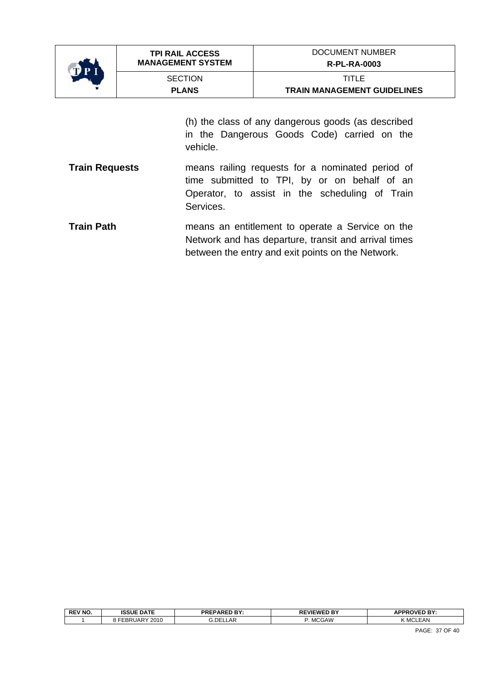

**SECTION PLANS** 

**TRAIN MANAGEMENT GUIDELINES** 

(h) the class of any dangerous goods (as described in the Dangerous Goods Code) carried on the vehicle.

- **Train Requests** means railing requests for a nominated period of time submitted to TPI, by or on behalf of an Operator, to assist in the scheduling of Train Services.
- **Train Path neans an entitlement to operate a Service on the** Network and has departure, transit and arrival times between the entry and exit points on the Network.

| <b>REV NO</b> | <b>ISSUE DATE</b>  | <b>PREPARED BY:</b> | <b>REVIEWED BY</b> | <b>APPROVED BY:</b> |
|---------------|--------------------|---------------------|--------------------|---------------------|
|               | 2010<br>$L$ BRUARY | <b>G.DELLAR</b>     | MCGAW              | .EAN<br>MG          |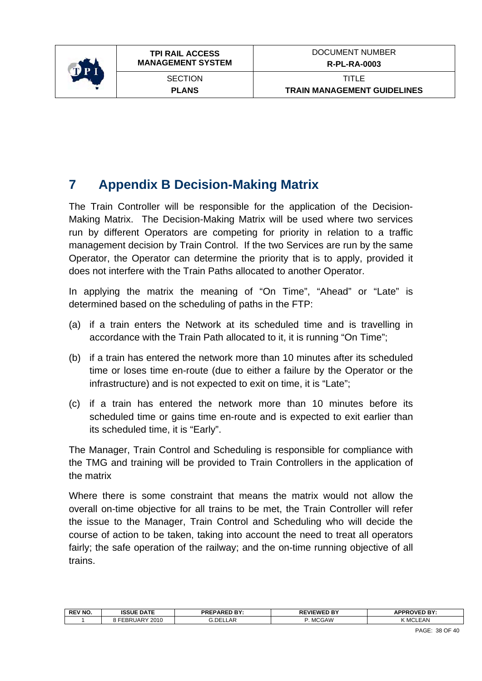<span id="page-37-0"></span>

## **7 Appendix B Decision-Making Matrix**

The Train Controller will be responsible for the application of the Decision-Making Matrix. The Decision-Making Matrix will be used where two services run by different Operators are competing for priority in relation to a traffic management decision by Train Control. If the two Services are run by the same Operator, the Operator can determine the priority that is to apply, provided it does not interfere with the Train Paths allocated to another Operator.

In applying the matrix the meaning of "On Time", "Ahead" or "Late" is determined based on the scheduling of paths in the FTP:

- (a) if a train enters the Network at its scheduled time and is travelling in accordance with the Train Path allocated to it, it is running "On Time";
- (b) if a train has entered the network more than 10 minutes after its scheduled time or loses time en-route (due to either a failure by the Operator or the infrastructure) and is not expected to exit on time, it is "Late";
- (c) if a train has entered the network more than 10 minutes before its scheduled time or gains time en-route and is expected to exit earlier than its scheduled time, it is "Early".

The Manager, Train Control and Scheduling is responsible for compliance with the TMG and training will be provided to Train Controllers in the application of the matrix

Where there is some constraint that means the matrix would not allow the overall on-time objective for all trains to be met, the Train Controller will refer the issue to the Manager, Train Control and Scheduling who will decide the course of action to be taken, taking into account the need to treat all operators fairly; the safe operation of the railway; and the on-time running objective of all trains.

| <b>REV NO.</b> | <b>ISSUE DATE</b>  | DDEDADED BV<br>EPAREU<br>- R L<br>. | . nv<br><b>WEWE</b><br>. . | <b>IPPPOVED RY</b><br>APP' |
|----------------|--------------------|-------------------------------------|----------------------------|----------------------------|
|                | 2010<br>JARY<br>nг | ∟AP.<br>. DEI                       | <b>MCGAW</b>               | $\sim$<br>LEAN<br>MCL      |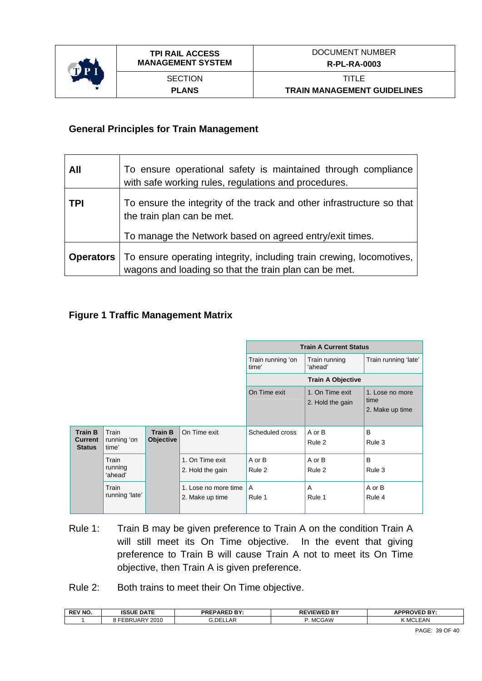

#### **General Principles for Train Management**

| All              | To ensure operational safety is maintained through compliance<br>with safe working rules, regulations and procedures.         |
|------------------|-------------------------------------------------------------------------------------------------------------------------------|
| <b>TPI</b>       | To ensure the integrity of the track and other infrastructure so that<br>the train plan can be met.                           |
|                  | To manage the Network based on agreed entry/exit times.                                                                       |
| <b>Operators</b> | To ensure operating integrity, including train crewing, locomotives,<br>wagons and loading so that the train plan can be met. |

#### **Figure 1 Traffic Management Matrix**

|                                                   |                               |                                    |                                         | <b>Train A Current Status</b> |                                     |                                            |
|---------------------------------------------------|-------------------------------|------------------------------------|-----------------------------------------|-------------------------------|-------------------------------------|--------------------------------------------|
|                                                   |                               |                                    |                                         | Train running 'on<br>time'    | Train running<br>'ahead'            | Train running 'late'                       |
|                                                   |                               |                                    | <b>Train A Objective</b>                |                               |                                     |                                            |
|                                                   |                               |                                    |                                         | On Time exit                  | 1. On Time exit<br>2. Hold the gain | 1. Lose no more<br>time<br>2. Make up time |
| <b>Train B</b><br><b>Current</b><br><b>Status</b> | Train<br>running 'on<br>time' | <b>Train B</b><br><b>Objective</b> | On Time exit                            | Scheduled cross               | A or B<br>Rule 2                    | B<br>Rule 3                                |
|                                                   | Train<br>running<br>'ahead'   |                                    | 1. On Time exit<br>2. Hold the gain     | A or B<br>Rule 2              | A or B<br>Rule 2                    | B<br>Rule 3                                |
|                                                   | Train<br>running 'late'       |                                    | 1. Lose no more time<br>2. Make up time | A<br>Rule 1                   | A<br>Rule 1                         | A or B<br>Rule 4                           |

- Rule 1: Train B may be given preference to Train A on the condition Train A will still meet its On Time objective. In the event that giving preference to Train B will cause Train A not to meet its On Time objective, then Train A is given preference.
- Rule 2: Both trains to meet their On Time objective.

| <b>REV NO.</b> | <b>ISSUE DATE</b>     | DDEDADEN DV.<br>ואמ-ו<br>. ום י<br>-n. | <b>REVIEWED BY</b> | <b>APPROVED BY:</b> |
|----------------|-----------------------|----------------------------------------|--------------------|---------------------|
|                | 2010<br><b>BRUARY</b> | 3.DEI<br>_AF                           | <b>MCGAW</b>       | .EAN<br>nл (        |